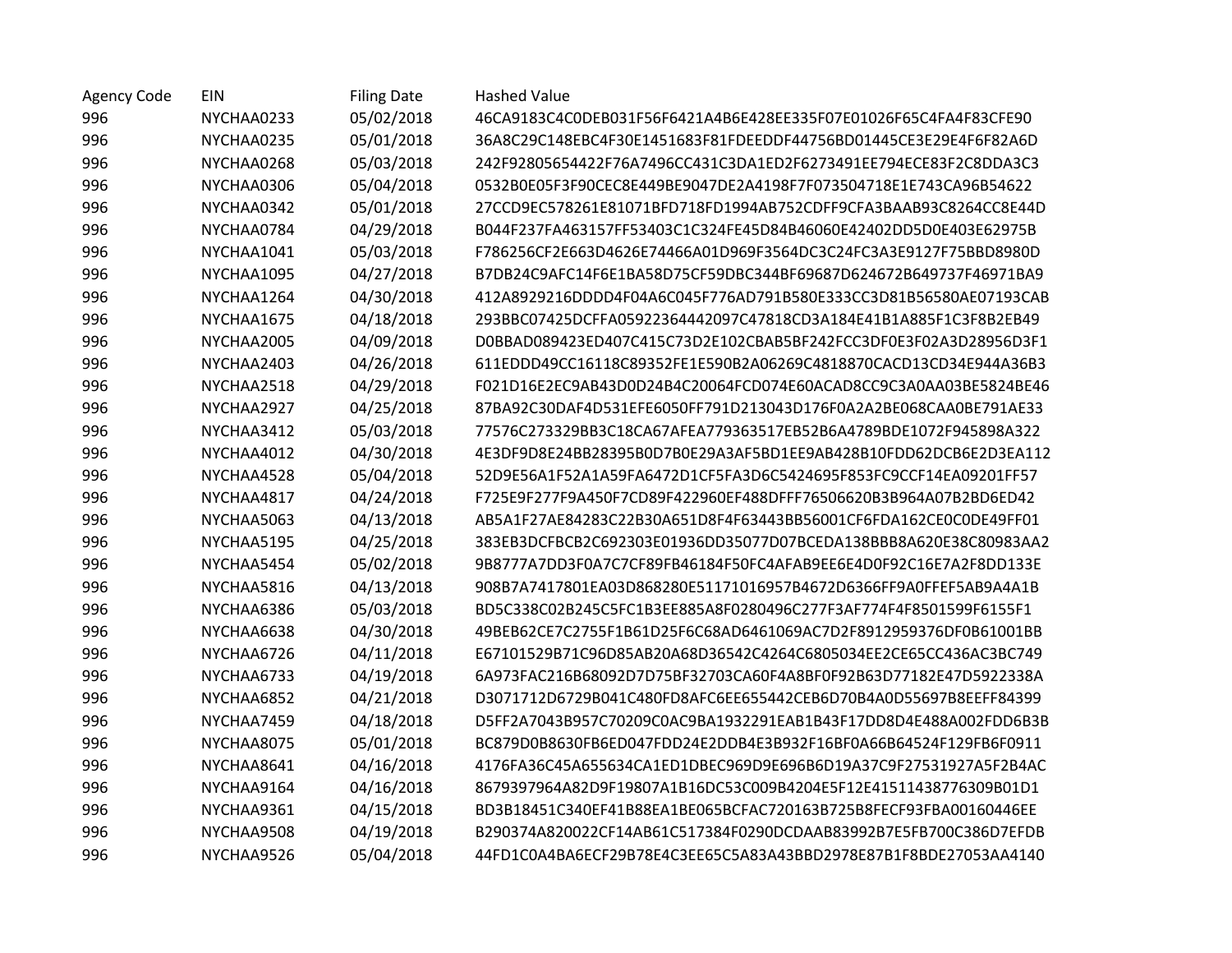| <b>Agency Code</b> | EIN        | <b>Filing Date</b> | <b>Hashed Value</b>                                              |
|--------------------|------------|--------------------|------------------------------------------------------------------|
| 996                | NYCHAA0233 | 05/02/2018         | 46CA9183C4C0DEB031F56F6421A4B6E428EE335F07E01026F65C4FA4F83CFE90 |
| 996                | NYCHAA0235 | 05/01/2018         | 36A8C29C148EBC4F30E1451683F81FDEEDDF44756BD01445CE3E29E4F6F82A6D |
| 996                | NYCHAA0268 | 05/03/2018         | 242F92805654422F76A7496CC431C3DA1ED2F6273491EE794ECE83F2C8DDA3C3 |
| 996                | NYCHAA0306 | 05/04/2018         | 0532B0E05F3F90CEC8E449BE9047DE2A4198F7F073504718E1E743CA96B54622 |
| 996                | NYCHAA0342 | 05/01/2018         | 27CCD9EC578261E81071BFD718FD1994AB752CDFF9CFA3BAAB93C8264CC8E44D |
| 996                | NYCHAA0784 | 04/29/2018         | B044F237FA463157FF53403C1C324FE45D84B46060E42402DD5D0E403E62975B |
| 996                | NYCHAA1041 | 05/03/2018         | F786256CF2E663D4626E74466A01D969F3564DC3C24FC3A3E9127F75BBD8980D |
| 996                | NYCHAA1095 | 04/27/2018         | B7DB24C9AFC14F6E1BA58D75CF59DBC344BF69687D624672B649737F46971BA9 |
| 996                | NYCHAA1264 | 04/30/2018         | 412A8929216DDDD4F04A6C045F776AD791B580E333CC3D81B56580AE07193CAB |
| 996                | NYCHAA1675 | 04/18/2018         | 293BBC07425DCFFA05922364442097C47818CD3A184E41B1A885F1C3F8B2EB49 |
| 996                | NYCHAA2005 | 04/09/2018         | D0BBAD089423ED407C415C73D2E102CBAB5BF242FCC3DF0E3F02A3D28956D3F1 |
| 996                | NYCHAA2403 | 04/26/2018         | 611EDDD49CC16118C89352FE1E590B2A06269C4818870CACD13CD34E944A36B3 |
| 996                | NYCHAA2518 | 04/29/2018         | F021D16E2EC9AB43D0D24B4C20064FCD074E60ACAD8CC9C3A0AA03BE5824BE46 |
| 996                | NYCHAA2927 | 04/25/2018         | 87BA92C30DAF4D531EFE6050FF791D213043D176F0A2A2BE068CAA0BE791AE33 |
| 996                | NYCHAA3412 | 05/03/2018         | 77576C273329BB3C18CA67AFEA779363517EB52B6A4789BDE1072F945898A322 |
| 996                | NYCHAA4012 | 04/30/2018         | 4E3DF9D8E24BB28395B0D7B0E29A3AF5BD1EE9AB428B10FDD62DCB6E2D3EA112 |
| 996                | NYCHAA4528 | 05/04/2018         | 52D9E56A1F52A1A59FA6472D1CF5FA3D6C5424695F853FC9CCF14EA09201FF57 |
| 996                | NYCHAA4817 | 04/24/2018         | F725E9F277F9A450F7CD89F422960EF488DFFF76506620B3B964A07B2BD6ED42 |
| 996                | NYCHAA5063 | 04/13/2018         | AB5A1F27AE84283C22B30A651D8F4F63443BB56001CF6FDA162CE0C0DE49FF01 |
| 996                | NYCHAA5195 | 04/25/2018         | 383EB3DCFBCB2C692303E01936DD35077D07BCEDA138BBB8A620E38C80983AA2 |
| 996                | NYCHAA5454 | 05/02/2018         | 9B8777A7DD3F0A7C7CF89FB46184F50FC4AFAB9EE6E4D0F92C16E7A2F8DD133E |
| 996                | NYCHAA5816 | 04/13/2018         | 908B7A7417801EA03D868280E51171016957B4672D6366FF9A0FFEF5AB9A4A1B |
| 996                | NYCHAA6386 | 05/03/2018         | BD5C338C02B245C5FC1B3EE885A8F0280496C277F3AF774F4F8501599F6155F1 |
| 996                | NYCHAA6638 | 04/30/2018         | 49BEB62CE7C2755F1B61D25F6C68AD6461069AC7D2F8912959376DF0B61001BB |
| 996                | NYCHAA6726 | 04/11/2018         | E67101529B71C96D85AB20A68D36542C4264C6805034EE2CE65CC436AC3BC749 |
| 996                | NYCHAA6733 | 04/19/2018         | 6A973FAC216B68092D7D75BF32703CA60F4A8BF0F92B63D77182E47D5922338A |
| 996                | NYCHAA6852 | 04/21/2018         | D3071712D6729B041C480FD8AFC6EE655442CEB6D70B4A0D55697B8EEFF84399 |
| 996                | NYCHAA7459 | 04/18/2018         | D5FF2A7043B957C70209C0AC9BA1932291EAB1B43F17DD8D4E488A002FDD6B3B |
| 996                | NYCHAA8075 | 05/01/2018         | BC879D0B8630FB6ED047FDD24E2DDB4E3B932F16BF0A66B64524F129FB6F0911 |
| 996                | NYCHAA8641 | 04/16/2018         | 4176FA36C45A655634CA1ED1DBEC969D9E696B6D19A37C9F27531927A5F2B4AC |
| 996                | NYCHAA9164 | 04/16/2018         | 8679397964A82D9F19807A1B16DC53C009B4204E5F12E41511438776309B01D1 |
| 996                | NYCHAA9361 | 04/15/2018         | BD3B18451C340EF41B88EA1BE065BCFAC720163B725B8FECF93FBA00160446EE |
| 996                | NYCHAA9508 | 04/19/2018         | B290374A820022CF14AB61C517384F0290DCDAAB83992B7E5FB700C386D7EFDB |
| 996                | NYCHAA9526 | 05/04/2018         | 44FD1C0A4BA6ECF29B78E4C3EE65C5A83A43BBD2978E87B1F8BDE27053AA4140 |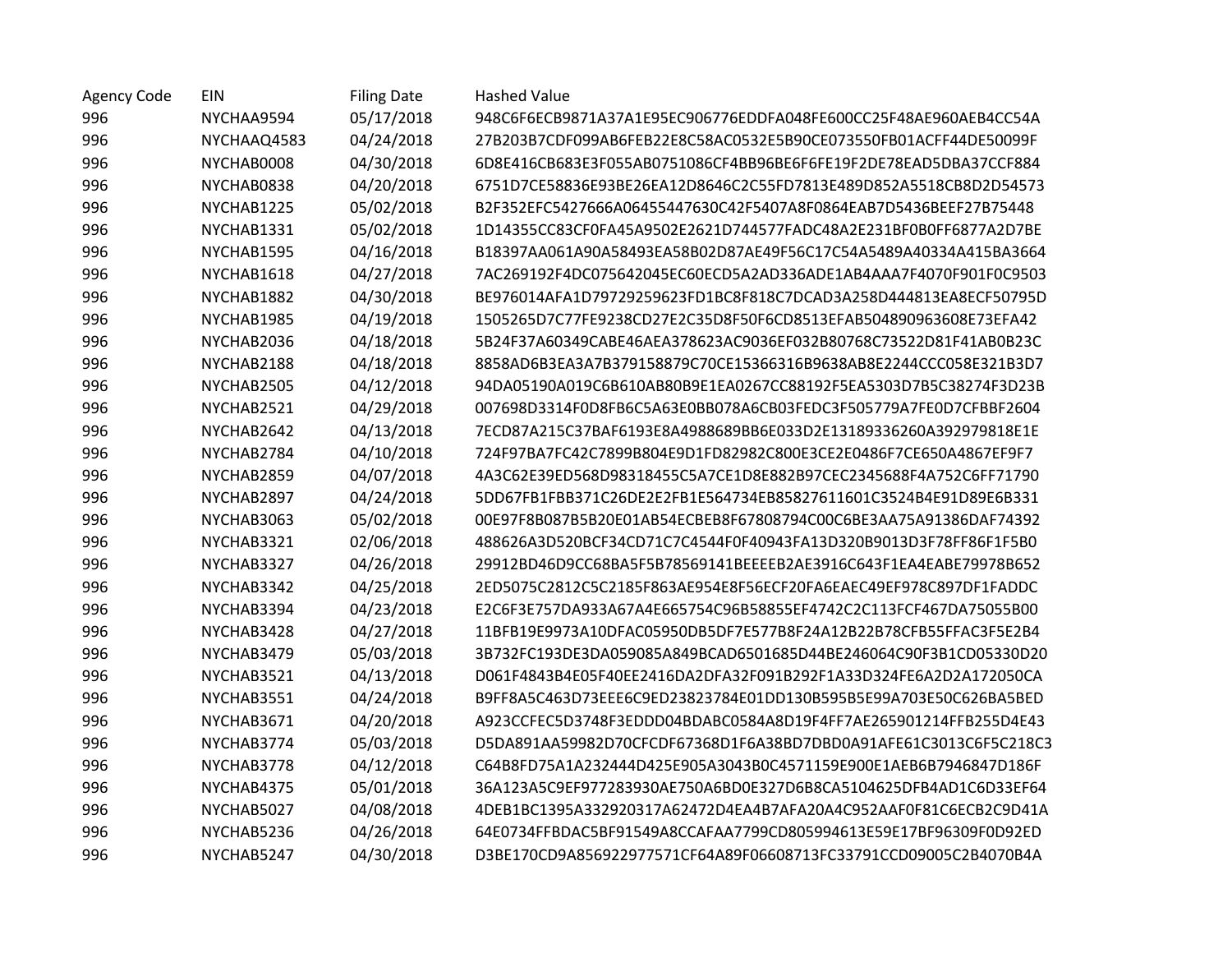| <b>Agency Code</b> | EIN         | <b>Filing Date</b> | <b>Hashed Value</b>                                              |
|--------------------|-------------|--------------------|------------------------------------------------------------------|
| 996                | NYCHAA9594  | 05/17/2018         | 948C6F6ECB9871A37A1E95EC906776EDDFA048FE600CC25F48AE960AEB4CC54A |
| 996                | NYCHAAQ4583 | 04/24/2018         | 27B203B7CDF099AB6FEB22E8C58AC0532E5B90CE073550FB01ACFF44DE50099F |
| 996                | NYCHAB0008  | 04/30/2018         | 6D8E416CB683E3F055AB0751086CF4BB96BE6F6FE19F2DE78EAD5DBA37CCF884 |
| 996                | NYCHAB0838  | 04/20/2018         | 6751D7CE58836E93BE26EA12D8646C2C55FD7813E489D852A5518CB8D2D54573 |
| 996                | NYCHAB1225  | 05/02/2018         | B2F352EFC5427666A06455447630C42F5407A8F0864EAB7D5436BEEF27B75448 |
| 996                | NYCHAB1331  | 05/02/2018         | 1D14355CC83CF0FA45A9502E2621D744577FADC48A2E231BF0B0FF6877A2D7BE |
| 996                | NYCHAB1595  | 04/16/2018         | B18397AA061A90A58493EA58B02D87AE49F56C17C54A5489A40334A415BA3664 |
| 996                | NYCHAB1618  | 04/27/2018         | 7AC269192F4DC075642045EC60ECD5A2AD336ADE1AB4AAA7F4070F901F0C9503 |
| 996                | NYCHAB1882  | 04/30/2018         | BE976014AFA1D79729259623FD1BC8F818C7DCAD3A258D444813EA8ECF50795D |
| 996                | NYCHAB1985  | 04/19/2018         | 1505265D7C77FE9238CD27E2C35D8F50F6CD8513EFAB504890963608E73EFA42 |
| 996                | NYCHAB2036  | 04/18/2018         | 5B24F37A60349CABE46AEA378623AC9036EF032B80768C73522D81F41AB0B23C |
| 996                | NYCHAB2188  | 04/18/2018         | 8858AD6B3EA3A7B379158879C70CE15366316B9638AB8E2244CCC058E321B3D7 |
| 996                | NYCHAB2505  | 04/12/2018         | 94DA05190A019C6B610AB80B9E1EA0267CC88192F5EA5303D7B5C38274F3D23B |
| 996                | NYCHAB2521  | 04/29/2018         | 007698D3314F0D8FB6C5A63E0BB078A6CB03FEDC3F505779A7FE0D7CFBBF2604 |
| 996                | NYCHAB2642  | 04/13/2018         | 7ECD87A215C37BAF6193E8A4988689BB6E033D2E13189336260A392979818E1E |
| 996                | NYCHAB2784  | 04/10/2018         | 724F97BA7FC42C7899B804E9D1FD82982C800E3CE2E0486F7CE650A4867EF9F7 |
| 996                | NYCHAB2859  | 04/07/2018         | 4A3C62E39ED568D98318455C5A7CE1D8E882B97CEC2345688F4A752C6FF71790 |
| 996                | NYCHAB2897  | 04/24/2018         | 5DD67FB1FBB371C26DE2E2FB1E564734EB85827611601C3524B4E91D89E6B331 |
| 996                | NYCHAB3063  | 05/02/2018         | 00E97F8B087B5B20E01AB54ECBEB8F67808794C00C6BE3AA75A91386DAF74392 |
| 996                | NYCHAB3321  | 02/06/2018         | 488626A3D520BCF34CD71C7C4544F0F40943FA13D320B9013D3F78FF86F1F5B0 |
| 996                | NYCHAB3327  | 04/26/2018         | 29912BD46D9CC68BA5F5B78569141BEEEEB2AE3916C643F1EA4EABE79978B652 |
| 996                | NYCHAB3342  | 04/25/2018         | 2ED5075C2812C5C2185F863AE954E8F56ECF20FA6EAEC49EF978C897DF1FADDC |
| 996                | NYCHAB3394  | 04/23/2018         | E2C6F3E757DA933A67A4E665754C96B58855EF4742C2C113FCF467DA75055B00 |
| 996                | NYCHAB3428  | 04/27/2018         | 11BFB19E9973A10DFAC05950DB5DF7E577B8F24A12B22B78CFB55FFAC3F5E2B4 |
| 996                | NYCHAB3479  | 05/03/2018         | 3B732FC193DE3DA059085A849BCAD6501685D44BE246064C90F3B1CD05330D20 |
| 996                | NYCHAB3521  | 04/13/2018         | D061F4843B4E05F40EE2416DA2DFA32F091B292F1A33D324FE6A2D2A172050CA |
| 996                | NYCHAB3551  | 04/24/2018         | B9FF8A5C463D73EEE6C9ED23823784E01DD130B595B5E99A703E50C626BA5BED |
| 996                | NYCHAB3671  | 04/20/2018         | A923CCFEC5D3748F3EDDD04BDABC0584A8D19F4FF7AE265901214FFB255D4E43 |
| 996                | NYCHAB3774  | 05/03/2018         | D5DA891AA59982D70CFCDF67368D1F6A38BD7DBD0A91AFE61C3013C6F5C218C3 |
| 996                | NYCHAB3778  | 04/12/2018         | C64B8FD75A1A232444D425E905A3043B0C4571159E900E1AEB6B7946847D186F |
| 996                | NYCHAB4375  | 05/01/2018         | 36A123A5C9EF977283930AE750A6BD0E327D6B8CA5104625DFB4AD1C6D33EF64 |
| 996                | NYCHAB5027  | 04/08/2018         | 4DEB1BC1395A332920317A62472D4EA4B7AFA20A4C952AAF0F81C6ECB2C9D41A |
| 996                | NYCHAB5236  | 04/26/2018         | 64E0734FFBDAC5BF91549A8CCAFAA7799CD805994613E59E17BF96309F0D92ED |
| 996                | NYCHAB5247  | 04/30/2018         | D3BE170CD9A856922977571CF64A89F06608713FC33791CCD09005C2B4070B4A |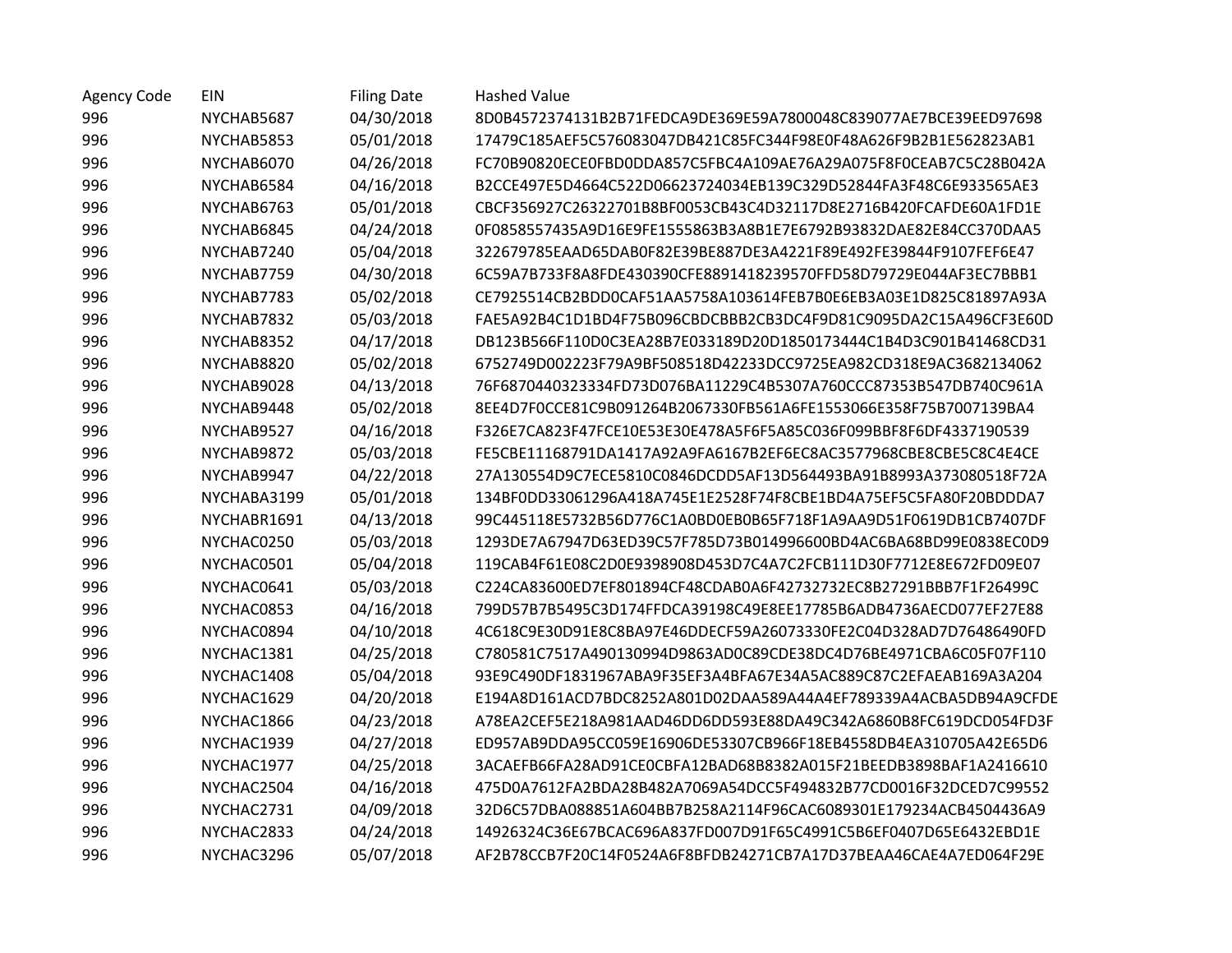| <b>Agency Code</b> | EIN         | <b>Filing Date</b> | <b>Hashed Value</b>                                              |
|--------------------|-------------|--------------------|------------------------------------------------------------------|
| 996                | NYCHAB5687  | 04/30/2018         | 8D0B4572374131B2B71FEDCA9DE369E59A7800048C839077AE7BCE39EED97698 |
| 996                | NYCHAB5853  | 05/01/2018         | 17479C185AEF5C576083047DB421C85FC344F98E0F48A626F9B2B1E562823AB1 |
| 996                | NYCHAB6070  | 04/26/2018         | FC70B90820ECE0FBD0DDA857C5FBC4A109AE76A29A075F8F0CEAB7C5C28B042A |
| 996                | NYCHAB6584  | 04/16/2018         | B2CCE497E5D4664C522D06623724034EB139C329D52844FA3F48C6E933565AE3 |
| 996                | NYCHAB6763  | 05/01/2018         | CBCF356927C26322701B8BF0053CB43C4D32117D8E2716B420FCAFDE60A1FD1E |
| 996                | NYCHAB6845  | 04/24/2018         | 0F0858557435A9D16E9FE1555863B3A8B1E7E6792B93832DAE82E84CC370DAA5 |
| 996                | NYCHAB7240  | 05/04/2018         | 322679785EAAD65DAB0F82E39BE887DE3A4221F89E492FE39844F9107FEF6E47 |
| 996                | NYCHAB7759  | 04/30/2018         | 6C59A7B733F8A8FDE430390CFE8891418239570FFD58D79729E044AF3EC7BBB1 |
| 996                | NYCHAB7783  | 05/02/2018         | CE7925514CB2BDD0CAF51AA5758A103614FEB7B0E6EB3A03E1D825C81897A93A |
| 996                | NYCHAB7832  | 05/03/2018         | FAE5A92B4C1D1BD4F75B096CBDCBBB2CB3DC4F9D81C9095DA2C15A496CF3E60D |
| 996                | NYCHAB8352  | 04/17/2018         | DB123B566F110D0C3EA28B7E033189D20D1850173444C1B4D3C901B41468CD31 |
| 996                | NYCHAB8820  | 05/02/2018         | 6752749D002223F79A9BF508518D42233DCC9725EA982CD318E9AC3682134062 |
| 996                | NYCHAB9028  | 04/13/2018         | 76F6870440323334FD73D076BA11229C4B5307A760CCC87353B547DB740C961A |
| 996                | NYCHAB9448  | 05/02/2018         | 8EE4D7F0CCE81C9B091264B2067330FB561A6FE1553066E358F75B7007139BA4 |
| 996                | NYCHAB9527  | 04/16/2018         | F326E7CA823F47FCE10E53E30E478A5F6F5A85C036F099BBF8F6DF4337190539 |
| 996                | NYCHAB9872  | 05/03/2018         | FE5CBE11168791DA1417A92A9FA6167B2EF6EC8AC3577968CBE8CBE5C8C4E4CE |
| 996                | NYCHAB9947  | 04/22/2018         | 27A130554D9C7ECE5810C0846DCDD5AF13D564493BA91B8993A373080518F72A |
| 996                | NYCHABA3199 | 05/01/2018         | 134BF0DD33061296A418A745E1E2528F74F8CBE1BD4A75EF5C5FA80F20BDDDA7 |
| 996                | NYCHABR1691 | 04/13/2018         | 99C445118E5732B56D776C1A0BD0EB0B65F718F1A9AA9D51F0619DB1CB7407DF |
| 996                | NYCHAC0250  | 05/03/2018         | 1293DE7A67947D63ED39C57F785D73B014996600BD4AC6BA68BD99E0838EC0D9 |
| 996                | NYCHAC0501  | 05/04/2018         | 119CAB4F61E08C2D0E9398908D453D7C4A7C2FCB111D30F7712E8E672FD09E07 |
| 996                | NYCHAC0641  | 05/03/2018         | C224CA83600ED7EF801894CF48CDAB0A6F42732732EC8B27291BBB7F1F26499C |
| 996                | NYCHAC0853  | 04/16/2018         | 799D57B7B5495C3D174FFDCA39198C49E8EE17785B6ADB4736AECD077EF27E88 |
| 996                | NYCHAC0894  | 04/10/2018         | 4C618C9E30D91E8C8BA97E46DDECF59A26073330FE2C04D328AD7D76486490FD |
| 996                | NYCHAC1381  | 04/25/2018         | C780581C7517A490130994D9863AD0C89CDE38DC4D76BE4971CBA6C05F07F110 |
| 996                | NYCHAC1408  | 05/04/2018         | 93E9C490DF1831967ABA9F35EF3A4BFA67E34A5AC889C87C2EFAEAB169A3A204 |
| 996                | NYCHAC1629  | 04/20/2018         | E194A8D161ACD7BDC8252A801D02DAA589A44A4EF789339A4ACBA5DB94A9CFDE |
| 996                | NYCHAC1866  | 04/23/2018         | A78EA2CEF5E218A981AAD46DD6DD593E88DA49C342A6860B8FC619DCD054FD3F |
| 996                | NYCHAC1939  | 04/27/2018         | ED957AB9DDA95CC059E16906DE53307CB966F18EB4558DB4EA310705A42E65D6 |
| 996                | NYCHAC1977  | 04/25/2018         | 3ACAEFB66FA28AD91CE0CBFA12BAD68B8382A015F21BEEDB3898BAF1A2416610 |
| 996                | NYCHAC2504  | 04/16/2018         | 475D0A7612FA2BDA28B482A7069A54DCC5F494832B77CD0016F32DCED7C99552 |
| 996                | NYCHAC2731  | 04/09/2018         | 32D6C57DBA088851A604BB7B258A2114F96CAC6089301E179234ACB4504436A9 |
| 996                | NYCHAC2833  | 04/24/2018         | 14926324C36E67BCAC696A837FD007D91F65C4991C5B6EF0407D65E6432EBD1E |
| 996                | NYCHAC3296  | 05/07/2018         | AF2B78CCB7F20C14F0524A6F8BFDB24271CB7A17D37BEAA46CAE4A7ED064F29E |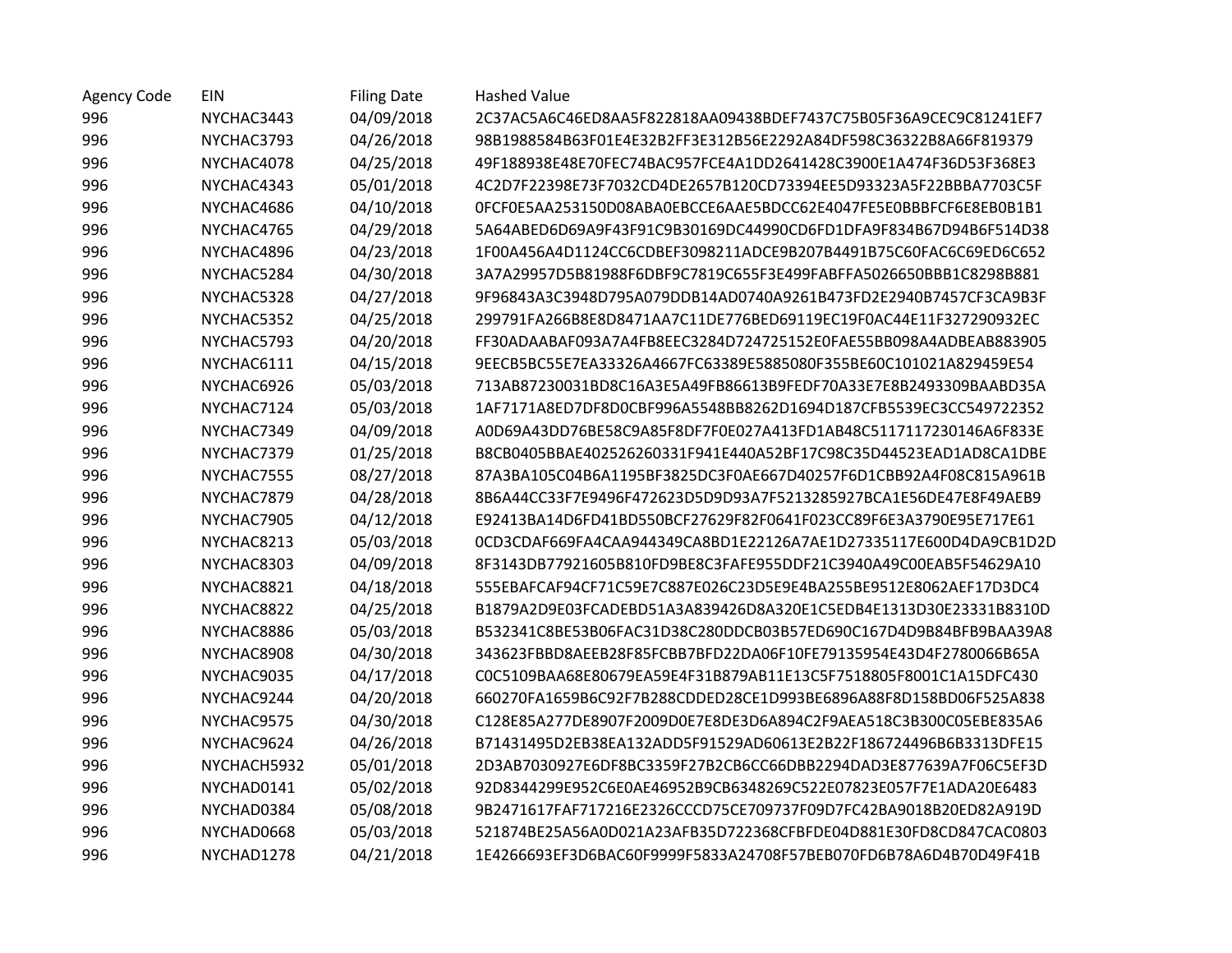| <b>Agency Code</b> | EIN         | <b>Filing Date</b> | <b>Hashed Value</b>                                              |
|--------------------|-------------|--------------------|------------------------------------------------------------------|
| 996                | NYCHAC3443  | 04/09/2018         | 2C37AC5A6C46ED8AA5F822818AA09438BDEF7437C75B05F36A9CEC9C81241EF7 |
| 996                | NYCHAC3793  | 04/26/2018         | 98B1988584B63F01E4E32B2FF3E312B56E2292A84DF598C36322B8A66F819379 |
| 996                | NYCHAC4078  | 04/25/2018         | 49F188938E48E70FEC74BAC957FCE4A1DD2641428C3900E1A474F36D53F368E3 |
| 996                | NYCHAC4343  | 05/01/2018         | 4C2D7F22398E73F7032CD4DE2657B120CD73394EE5D93323A5F22BBBA7703C5F |
| 996                | NYCHAC4686  | 04/10/2018         | 0FCF0E5AA253150D08ABA0EBCCE6AAE5BDCC62E4047FE5E0BBBFCF6E8EB0B1B1 |
| 996                | NYCHAC4765  | 04/29/2018         | 5A64ABED6D69A9F43F91C9B30169DC44990CD6FD1DFA9F834B67D94B6F514D38 |
| 996                | NYCHAC4896  | 04/23/2018         | 1F00A456A4D1124CC6CDBEF3098211ADCE9B207B4491B75C60FAC6C69ED6C652 |
| 996                | NYCHAC5284  | 04/30/2018         | 3A7A29957D5B81988F6DBF9C7819C655F3E499FABFFA5026650BBB1C8298B881 |
| 996                | NYCHAC5328  | 04/27/2018         | 9F96843A3C3948D795A079DDB14AD0740A9261B473FD2E2940B7457CF3CA9B3F |
| 996                | NYCHAC5352  | 04/25/2018         | 299791FA266B8E8D8471AA7C11DE776BED69119EC19F0AC44E11F327290932EC |
| 996                | NYCHAC5793  | 04/20/2018         | FF30ADAABAF093A7A4FB8EEC3284D724725152E0FAE55BB098A4ADBEAB883905 |
| 996                | NYCHAC6111  | 04/15/2018         | 9EECB5BC55E7EA33326A4667FC63389E5885080F355BE60C101021A829459E54 |
| 996                | NYCHAC6926  | 05/03/2018         | 713AB87230031BD8C16A3E5A49FB86613B9FEDF70A33E7E8B2493309BAABD35A |
| 996                | NYCHAC7124  | 05/03/2018         | 1AF7171A8ED7DF8D0CBF996A5548BB8262D1694D187CFB5539EC3CC549722352 |
| 996                | NYCHAC7349  | 04/09/2018         | A0D69A43DD76BE58C9A85F8DF7F0E027A413FD1AB48C5117117230146A6F833E |
| 996                | NYCHAC7379  | 01/25/2018         | B8CB0405BBAE402526260331F941E440A52BF17C98C35D44523EAD1AD8CA1DBE |
| 996                | NYCHAC7555  | 08/27/2018         | 87A3BA105C04B6A1195BF3825DC3F0AE667D40257F6D1CBB92A4F08C815A961B |
| 996                | NYCHAC7879  | 04/28/2018         | 8B6A44CC33F7E9496F472623D5D9D93A7F5213285927BCA1E56DE47E8F49AEB9 |
| 996                | NYCHAC7905  | 04/12/2018         | E92413BA14D6FD41BD550BCF27629F82F0641F023CC89F6E3A3790E95E717E61 |
| 996                | NYCHAC8213  | 05/03/2018         | 0CD3CDAF669FA4CAA944349CA8BD1E22126A7AE1D27335117E600D4DA9CB1D2D |
| 996                | NYCHAC8303  | 04/09/2018         | 8F3143DB77921605B810FD9BE8C3FAFE955DDF21C3940A49C00EAB5F54629A10 |
| 996                | NYCHAC8821  | 04/18/2018         | 555EBAFCAF94CF71C59E7C887E026C23D5E9E4BA255BE9512E8062AEF17D3DC4 |
| 996                | NYCHAC8822  | 04/25/2018         | B1879A2D9E03FCADEBD51A3A839426D8A320E1C5EDB4E1313D30E23331B8310D |
| 996                | NYCHAC8886  | 05/03/2018         | B532341C8BE53B06FAC31D38C280DDCB03B57ED690C167D4D9B84BFB9BAA39A8 |
| 996                | NYCHAC8908  | 04/30/2018         | 343623FBBD8AEEB28F85FCBB7BFD22DA06F10FE79135954E43D4F2780066B65A |
| 996                | NYCHAC9035  | 04/17/2018         | COC5109BAA68E80679EA59E4F31B879AB11E13C5F7518805F8001C1A15DFC430 |
| 996                | NYCHAC9244  | 04/20/2018         | 660270FA1659B6C92F7B288CDDED28CE1D993BE6896A88F8D158BD06F525A838 |
| 996                | NYCHAC9575  | 04/30/2018         | C128E85A277DE8907F2009D0E7E8DE3D6A894C2F9AEA518C3B300C05EBE835A6 |
| 996                | NYCHAC9624  | 04/26/2018         | B71431495D2EB38EA132ADD5F91529AD60613E2B22F186724496B6B3313DFE15 |
| 996                | NYCHACH5932 | 05/01/2018         | 2D3AB7030927E6DF8BC3359F27B2CB6CC66DBB2294DAD3E877639A7F06C5EF3D |
| 996                | NYCHAD0141  | 05/02/2018         | 92D8344299E952C6E0AE46952B9CB6348269C522E07823E057F7E1ADA20E6483 |
| 996                | NYCHAD0384  | 05/08/2018         | 9B2471617FAF717216E2326CCCD75CE709737F09D7FC42BA9018B20ED82A919D |
| 996                | NYCHAD0668  | 05/03/2018         | 521874BE25A56A0D021A23AFB35D722368CFBFDE04D881E30FD8CD847CAC0803 |
| 996                | NYCHAD1278  | 04/21/2018         | 1E4266693EF3D6BAC60F9999F5833A24708F57BEB070FD6B78A6D4B70D49F41B |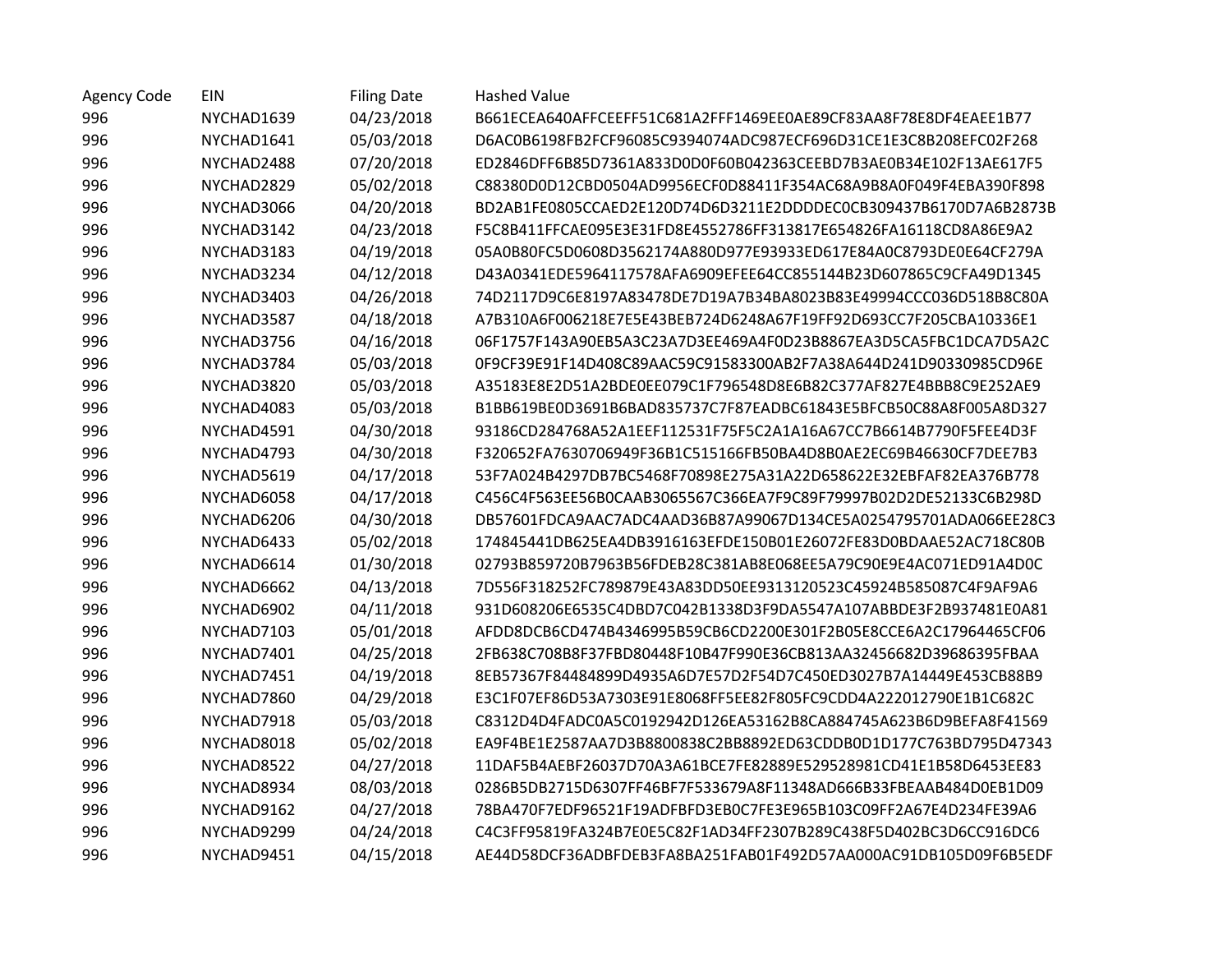| <b>Agency Code</b> | EIN        | <b>Filing Date</b> | <b>Hashed Value</b>                                              |
|--------------------|------------|--------------------|------------------------------------------------------------------|
| 996                | NYCHAD1639 | 04/23/2018         | B661ECEA640AFFCEEFF51C681A2FFF1469EE0AE89CF83AA8F78E8DF4EAEE1B77 |
| 996                | NYCHAD1641 | 05/03/2018         | D6AC0B6198FB2FCF96085C9394074ADC987ECF696D31CE1E3C8B208EFC02F268 |
| 996                | NYCHAD2488 | 07/20/2018         | ED2846DFF6B85D7361A833D0D0F60B042363CEEBD7B3AE0B34E102F13AE617F5 |
| 996                | NYCHAD2829 | 05/02/2018         | C88380D0D12CBD0504AD9956ECF0D88411F354AC68A9B8A0F049F4EBA390F898 |
| 996                | NYCHAD3066 | 04/20/2018         | BD2AB1FE0805CCAED2E120D74D6D3211E2DDDDEC0CB309437B6170D7A6B2873B |
| 996                | NYCHAD3142 | 04/23/2018         | F5C8B411FFCAE095E3E31FD8E4552786FF313817E654826FA16118CD8A86E9A2 |
| 996                | NYCHAD3183 | 04/19/2018         | 05A0B80FC5D0608D3562174A880D977E93933ED617E84A0C8793DE0E64CF279A |
| 996                | NYCHAD3234 | 04/12/2018         | D43A0341EDE5964117578AFA6909EFEE64CC855144B23D607865C9CFA49D1345 |
| 996                | NYCHAD3403 | 04/26/2018         | 74D2117D9C6E8197A83478DE7D19A7B34BA8023B83E49994CCC036D518B8C80A |
| 996                | NYCHAD3587 | 04/18/2018         | A7B310A6F006218E7E5E43BEB724D6248A67F19FF92D693CC7F205CBA10336E1 |
| 996                | NYCHAD3756 | 04/16/2018         | 06F1757F143A90EB5A3C23A7D3EE469A4F0D23B8867EA3D5CA5FBC1DCA7D5A2C |
| 996                | NYCHAD3784 | 05/03/2018         | 0F9CF39E91F14D408C89AAC59C91583300AB2F7A38A644D241D90330985CD96E |
| 996                | NYCHAD3820 | 05/03/2018         | A35183E8E2D51A2BDE0E079C1F796548D8E6B82C377AF827E4BBB8C9E252AE9  |
| 996                | NYCHAD4083 | 05/03/2018         | B1BB619BE0D3691B6BAD835737C7F87EADBC61843E5BFCB50C88A8F005A8D327 |
| 996                | NYCHAD4591 | 04/30/2018         | 93186CD284768A52A1EEF112531F75F5C2A1A16A67CC7B6614B7790F5FEE4D3F |
| 996                | NYCHAD4793 | 04/30/2018         | F320652FA7630706949F36B1C515166FB50BA4D8B0AE2EC69B46630CF7DEE7B3 |
| 996                | NYCHAD5619 | 04/17/2018         | 53F7A024B4297DB7BC5468F70898E275A31A22D658622E32EBFAF82EA376B778 |
| 996                | NYCHAD6058 | 04/17/2018         | C456C4F563EE56B0CAAB3065567C366EA7F9C89F79997B02D2DE52133C6B298D |
| 996                | NYCHAD6206 | 04/30/2018         | DB57601FDCA9AAC7ADC4AAD36B87A99067D134CE5A0254795701ADA066EE28C3 |
| 996                | NYCHAD6433 | 05/02/2018         | 174845441DB625EA4DB3916163EFDE150B01E26072FE83D0BDAAE52AC718C80B |
| 996                | NYCHAD6614 | 01/30/2018         | 02793B859720B7963B56FDEB28C381AB8E068EE5A79C90E9E4AC071ED91A4D0C |
| 996                | NYCHAD6662 | 04/13/2018         | 7D556F318252FC789879E43A83DD50EE9313120523C45924B585087C4F9AF9A6 |
| 996                | NYCHAD6902 | 04/11/2018         | 931D608206E6535C4DBD7C042B1338D3F9DA5547A107ABBDE3F2B937481E0A81 |
| 996                | NYCHAD7103 | 05/01/2018         | AFDD8DCB6CD474B4346995B59CB6CD2200E301F2B05E8CCE6A2C17964465CF06 |
| 996                | NYCHAD7401 | 04/25/2018         | 2FB638C708B8F37FBD80448F10B47F990E36CB813AA32456682D39686395FBAA |
| 996                | NYCHAD7451 | 04/19/2018         | 8EB57367F84484899D4935A6D7E57D2F54D7C450ED3027B7A14449E453CB88B9 |
| 996                | NYCHAD7860 | 04/29/2018         | E3C1F07EF86D53A7303E91E8068FF5EE82F805FC9CDD4A222012790E1B1C682C |
| 996                | NYCHAD7918 | 05/03/2018         | C8312D4D4FADC0A5C0192942D126EA53162B8CA884745A623B6D9BEFA8F41569 |
| 996                | NYCHAD8018 | 05/02/2018         | EA9F4BE1E2587AA7D3B8800838C2BB8892ED63CDDB0D1D177C763BD795D47343 |
| 996                | NYCHAD8522 | 04/27/2018         | 11DAF5B4AEBF26037D70A3A61BCE7FE82889E529528981CD41E1B58D6453EE83 |
| 996                | NYCHAD8934 | 08/03/2018         | 0286B5DB2715D6307FF46BF7F533679A8F11348AD666B33FBEAAB484D0EB1D09 |
| 996                | NYCHAD9162 | 04/27/2018         | 78BA470F7EDF96521F19ADFBFD3EB0C7FE3E965B103C09FF2A67E4D234FE39A6 |
| 996                | NYCHAD9299 | 04/24/2018         | C4C3FF95819FA324B7E0E5C82F1AD34FF2307B289C438F5D402BC3D6CC916DC6 |
| 996                | NYCHAD9451 | 04/15/2018         | AE44D58DCF36ADBFDEB3FA8BA251FAB01F492D57AA000AC91DB105D09F6B5EDF |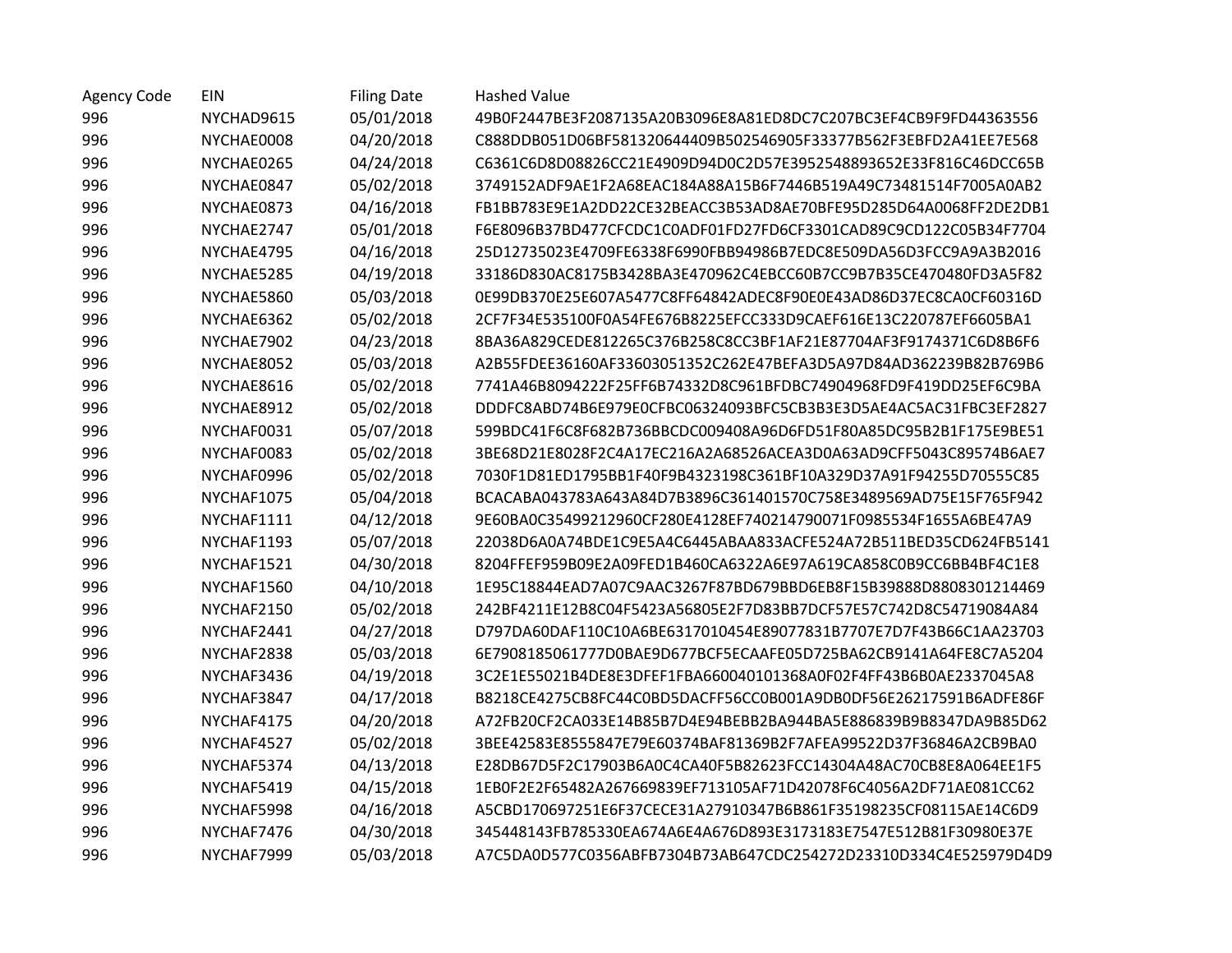| <b>Agency Code</b> | EIN        | <b>Filing Date</b> | <b>Hashed Value</b>                                              |
|--------------------|------------|--------------------|------------------------------------------------------------------|
| 996                | NYCHAD9615 | 05/01/2018         | 49B0F2447BE3F2087135A20B3096E8A81ED8DC7C207BC3EF4CB9F9FD44363556 |
| 996                | NYCHAE0008 | 04/20/2018         | C888DDB051D06BF581320644409B502546905F33377B562F3EBFD2A41EE7E568 |
| 996                | NYCHAE0265 | 04/24/2018         | C6361C6D8D08826CC21E4909D94D0C2D57E3952548893652E33F816C46DCC65B |
| 996                | NYCHAE0847 | 05/02/2018         | 3749152ADF9AE1F2A68EAC184A88A15B6F7446B519A49C73481514F7005A0AB2 |
| 996                | NYCHAE0873 | 04/16/2018         | FB1BB783E9E1A2DD22CE32BEACC3B53AD8AE70BFE95D285D64A0068FF2DE2DB1 |
| 996                | NYCHAE2747 | 05/01/2018         | F6E8096B37BD477CFCDC1C0ADF01FD27FD6CF3301CAD89C9CD122C05B34F7704 |
| 996                | NYCHAE4795 | 04/16/2018         | 25D12735023E4709FE6338F6990FBB94986B7EDC8E509DA56D3FCC9A9A3B2016 |
| 996                | NYCHAE5285 | 04/19/2018         | 33186D830AC8175B3428BA3E470962C4EBCC60B7CC9B7B35CE470480FD3A5F82 |
| 996                | NYCHAE5860 | 05/03/2018         | 0E99DB370E25E607A5477C8FF64842ADEC8F90E0E43AD86D37EC8CA0CF60316D |
| 996                | NYCHAE6362 | 05/02/2018         | 2CF7F34E535100F0A54FE676B8225EFCC333D9CAEF616E13C220787EF6605BA1 |
| 996                | NYCHAE7902 | 04/23/2018         | 8BA36A829CEDE812265C376B258C8CC3BF1AF21E87704AF3F9174371C6D8B6F6 |
| 996                | NYCHAE8052 | 05/03/2018         | A2B55FDEE36160AF33603051352C262E47BEFA3D5A97D84AD362239B82B769B6 |
| 996                | NYCHAE8616 | 05/02/2018         | 7741A46B8094222F25FF6B74332D8C961BFDBC74904968FD9F419DD25EF6C9BA |
| 996                | NYCHAE8912 | 05/02/2018         | DDDFC8ABD74B6E979E0CFBC06324093BFC5CB3B3E3D5AE4AC5AC31FBC3EF2827 |
| 996                | NYCHAF0031 | 05/07/2018         | 599BDC41F6C8F682B736BBCDC009408A96D6FD51F80A85DC95B2B1F175E9BE51 |
| 996                | NYCHAF0083 | 05/02/2018         | 3BE68D21E8028F2C4A17EC216A2A68526ACEA3D0A63AD9CFF5043C89574B6AE7 |
| 996                | NYCHAF0996 | 05/02/2018         | 7030F1D81ED1795BB1F40F9B4323198C361BF10A329D37A91F94255D70555C85 |
| 996                | NYCHAF1075 | 05/04/2018         | BCACABA043783A643A84D7B3896C361401570C758E3489569AD75E15F765F942 |
| 996                | NYCHAF1111 | 04/12/2018         | 9E60BA0C35499212960CF280E4128EF740214790071F0985534F1655A6BE47A9 |
| 996                | NYCHAF1193 | 05/07/2018         | 22038D6A0A74BDE1C9E5A4C6445ABAA833ACFE524A72B511BED35CD624FB5141 |
| 996                | NYCHAF1521 | 04/30/2018         | 8204FFEF959B09E2A09FED1B460CA6322A6E97A619CA858C0B9CC6BB4BF4C1E8 |
| 996                | NYCHAF1560 | 04/10/2018         | 1E95C18844EAD7A07C9AAC3267F87BD679BBD6EB8F15B39888D8808301214469 |
| 996                | NYCHAF2150 | 05/02/2018         | 242BF4211E12B8C04F5423A56805E2F7D83BB7DCF57E57C742D8C54719084A84 |
| 996                | NYCHAF2441 | 04/27/2018         | D797DA60DAF110C10A6BE6317010454E89077831B7707E7D7F43B66C1AA23703 |
| 996                | NYCHAF2838 | 05/03/2018         | 6E7908185061777D0BAE9D677BCF5ECAAFE05D725BA62CB9141A64FE8C7A5204 |
| 996                | NYCHAF3436 | 04/19/2018         | 3C2E1E55021B4DE8E3DFEF1FBA660040101368A0F02F4FF43B6B0AE2337045A8 |
| 996                | NYCHAF3847 | 04/17/2018         | B8218CE4275CB8FC44C0BD5DACFF56CC0B001A9DB0DF56E26217591B6ADFE86F |
| 996                | NYCHAF4175 | 04/20/2018         | A72FB20CF2CA033E14B85B7D4E94BEBB2BA944BA5E886839B9B8347DA9B85D62 |
| 996                | NYCHAF4527 | 05/02/2018         | 3BEE42583E8555847E79E60374BAF81369B2F7AFEA99522D37F36846A2CB9BA0 |
| 996                | NYCHAF5374 | 04/13/2018         | E28DB67D5F2C17903B6A0C4CA40F5B82623FCC14304A48AC70CB8E8A064EE1F5 |
| 996                | NYCHAF5419 | 04/15/2018         | 1EB0F2E2F65482A267669839EF713105AF71D42078F6C4056A2DF71AE081CC62 |
| 996                | NYCHAF5998 | 04/16/2018         | A5CBD170697251E6F37CECE31A27910347B6B861F35198235CF08115AE14C6D9 |
| 996                | NYCHAF7476 | 04/30/2018         | 345448143FB785330EA674A6E4A676D893E3173183E7547E512B81F30980E37E |
| 996                | NYCHAF7999 | 05/03/2018         | A7C5DA0D577C0356ABFB7304B73AB647CDC254272D23310D334C4E525979D4D9 |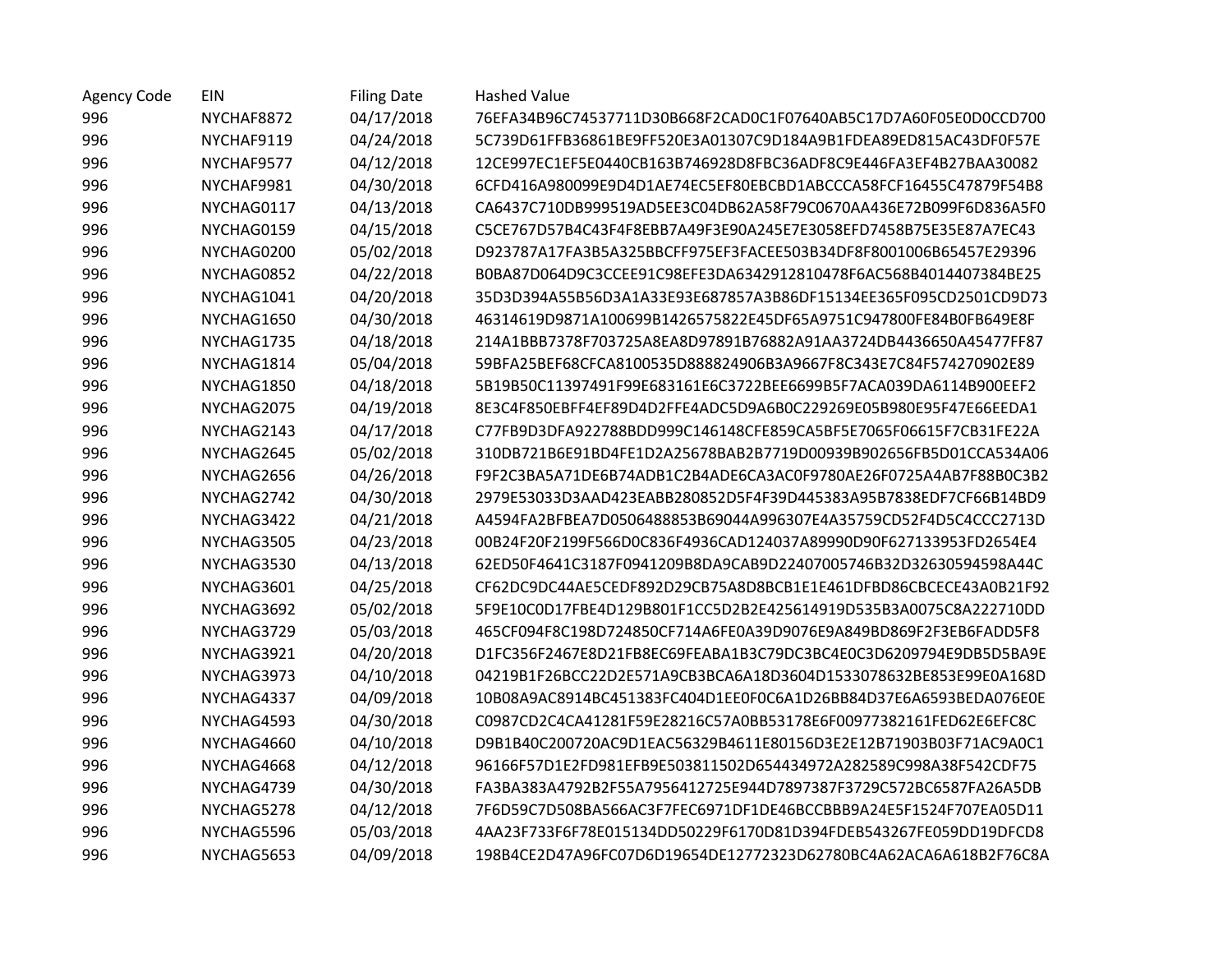| <b>Agency Code</b> | EIN        | <b>Filing Date</b> | <b>Hashed Value</b>                                              |
|--------------------|------------|--------------------|------------------------------------------------------------------|
| 996                | NYCHAF8872 | 04/17/2018         | 76EFA34B96C74537711D30B668F2CAD0C1F07640AB5C17D7A60F05E0D0CCD700 |
| 996                | NYCHAF9119 | 04/24/2018         | 5C739D61FFB36861BE9FF520E3A01307C9D184A9B1FDEA89ED815AC43DF0F57E |
| 996                | NYCHAF9577 | 04/12/2018         | 12CE997EC1EF5E0440CB163B746928D8FBC36ADF8C9E446FA3EF4B27BAA30082 |
| 996                | NYCHAF9981 | 04/30/2018         | 6CFD416A980099E9D4D1AE74EC5EF80EBCBD1ABCCCA58FCF16455C47879F54B8 |
| 996                | NYCHAG0117 | 04/13/2018         | CA6437C710DB999519AD5EE3C04DB62A58F79C0670AA436E72B099F6D836A5F0 |
| 996                | NYCHAG0159 | 04/15/2018         | C5CE767D57B4C43F4F8EBB7A49F3E90A245E7E3058EFD7458B75E35E87A7EC43 |
| 996                | NYCHAG0200 | 05/02/2018         | D923787A17FA3B5A325BBCFF975EF3FACEE503B34DF8F8001006B65457E29396 |
| 996                | NYCHAG0852 | 04/22/2018         | B0BA87D064D9C3CCEE91C98EFE3DA6342912810478F6AC568B4014407384BE25 |
| 996                | NYCHAG1041 | 04/20/2018         | 35D3D394A55B56D3A1A33E93E687857A3B86DF15134EE365F095CD2501CD9D73 |
| 996                | NYCHAG1650 | 04/30/2018         | 46314619D9871A100699B1426575822E45DF65A9751C947800FE84B0FB649E8F |
| 996                | NYCHAG1735 | 04/18/2018         | 214A1BBB7378F703725A8EA8D97891B76882A91AA3724DB4436650A45477FF87 |
| 996                | NYCHAG1814 | 05/04/2018         | 59BFA25BEF68CFCA8100535D888824906B3A9667F8C343E7C84F574270902E89 |
| 996                | NYCHAG1850 | 04/18/2018         | 5B19B50C11397491F99E683161E6C3722BEE6699B5F7ACA039DA6114B900EEF2 |
| 996                | NYCHAG2075 | 04/19/2018         | 8E3C4F850EBFF4EF89D4D2FFE4ADC5D9A6B0C229269E05B980E95F47E66EEDA1 |
| 996                | NYCHAG2143 | 04/17/2018         | C77FB9D3DFA922788BDD999C146148CFE859CA5BF5E7065F06615F7CB31FE22A |
| 996                | NYCHAG2645 | 05/02/2018         | 310DB721B6E91BD4FE1D2A25678BAB2B7719D00939B902656FB5D01CCA534A06 |
| 996                | NYCHAG2656 | 04/26/2018         | F9F2C3BA5A71DE6B74ADB1C2B4ADE6CA3AC0F9780AE26F0725A4AB7F88B0C3B2 |
| 996                | NYCHAG2742 | 04/30/2018         | 2979E53033D3AAD423EABB280852D5F4F39D445383A95B7838EDF7CF66B14BD9 |
| 996                | NYCHAG3422 | 04/21/2018         | A4594FA2BFBEA7D0506488853B69044A996307E4A35759CD52F4D5C4CCC2713D |
| 996                | NYCHAG3505 | 04/23/2018         | 00B24F20F2199F566D0C836F4936CAD124037A89990D90F627133953FD2654E4 |
| 996                | NYCHAG3530 | 04/13/2018         | 62ED50F4641C3187F0941209B8DA9CAB9D22407005746B32D32630594598A44C |
| 996                | NYCHAG3601 | 04/25/2018         | CF62DC9DC44AE5CEDF892D29CB75A8D8BCB1E1E461DFBD86CBCECE43A0B21F92 |
| 996                | NYCHAG3692 | 05/02/2018         | 5F9E10C0D17FBE4D129B801F1CC5D2B2E425614919D535B3A0075C8A222710DD |
| 996                | NYCHAG3729 | 05/03/2018         | 465CF094F8C198D724850CF714A6FE0A39D9076E9A849BD869F2F3EB6FADD5F8 |
| 996                | NYCHAG3921 | 04/20/2018         | D1FC356F2467E8D21FB8EC69FEABA1B3C79DC3BC4E0C3D6209794E9DB5D5BA9E |
| 996                | NYCHAG3973 | 04/10/2018         | 04219B1F26BCC22D2E571A9CB3BCA6A18D3604D1533078632BE853E99E0A168D |
| 996                | NYCHAG4337 | 04/09/2018         | 10B08A9AC8914BC451383FC404D1EE0F0C6A1D26BB84D37E6A6593BEDA076E0E |
| 996                | NYCHAG4593 | 04/30/2018         | C0987CD2C4CA41281F59E28216C57A0BB53178E6F00977382161FED62E6EFC8C |
| 996                | NYCHAG4660 | 04/10/2018         | D9B1B40C200720AC9D1EAC56329B4611E80156D3E2E12B71903B03F71AC9A0C1 |
| 996                | NYCHAG4668 | 04/12/2018         | 96166F57D1E2FD981EFB9E503811502D654434972A282589C998A38F542CDF75 |
| 996                | NYCHAG4739 | 04/30/2018         | FA3BA383A4792B2F55A7956412725E944D7897387F3729C572BC6587FA26A5DB |
| 996                | NYCHAG5278 | 04/12/2018         | 7F6D59C7D508BA566AC3F7FEC6971DF1DE46BCCBBB9A24E5F1524F707EA05D11 |
| 996                | NYCHAG5596 | 05/03/2018         | 4AA23F733F6F78E015134DD50229F6170D81D394FDEB543267FE059DD19DFCD8 |
| 996                | NYCHAG5653 | 04/09/2018         | 198B4CE2D47A96FC07D6D19654DE12772323D62780BC4A62ACA6A618B2F76C8A |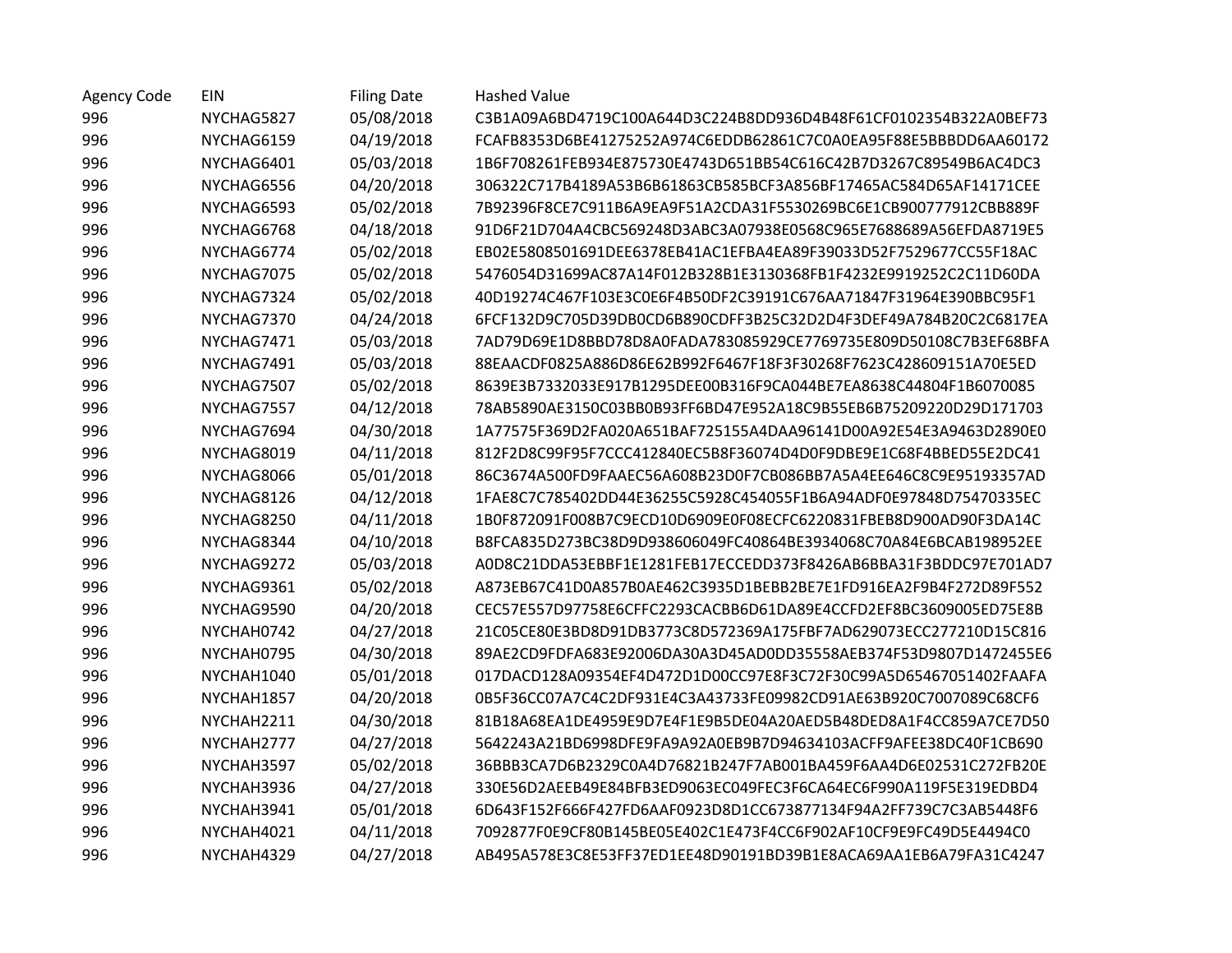| <b>Agency Code</b> | EIN        | <b>Filing Date</b> | <b>Hashed Value</b>                                              |
|--------------------|------------|--------------------|------------------------------------------------------------------|
| 996                | NYCHAG5827 | 05/08/2018         | C3B1A09A6BD4719C100A644D3C224B8DD936D4B48F61CF0102354B322A0BEF73 |
| 996                | NYCHAG6159 | 04/19/2018         | FCAFB8353D6BE41275252A974C6EDDB62861C7C0A0EA95F88E5BBBDD6AA60172 |
| 996                | NYCHAG6401 | 05/03/2018         | 1B6F708261FEB934E875730E4743D651BB54C616C42B7D3267C89549B6AC4DC3 |
| 996                | NYCHAG6556 | 04/20/2018         | 306322C717B4189A53B6B61863CB585BCF3A856BF17465AC584D65AF14171CEE |
| 996                | NYCHAG6593 | 05/02/2018         | 7B92396F8CE7C911B6A9EA9F51A2CDA31F5530269BC6E1CB900777912CBB889F |
| 996                | NYCHAG6768 | 04/18/2018         | 91D6F21D704A4CBC569248D3ABC3A07938E0568C965E7688689A56EFDA8719E5 |
| 996                | NYCHAG6774 | 05/02/2018         | EB02E5808501691DEE6378EB41AC1EFBA4EA89F39033D52F7529677CC55F18AC |
| 996                | NYCHAG7075 | 05/02/2018         | 5476054D31699AC87A14F012B328B1E3130368FB1F4232E9919252C2C11D60DA |
| 996                | NYCHAG7324 | 05/02/2018         | 40D19274C467F103E3C0E6F4B50DF2C39191C676AA71847F31964E390BBC95F1 |
| 996                | NYCHAG7370 | 04/24/2018         | 6FCF132D9C705D39DB0CD6B890CDFF3B25C32D2D4F3DEF49A784B20C2C6817EA |
| 996                | NYCHAG7471 | 05/03/2018         | 7AD79D69E1D8BBD78D8A0FADA783085929CE7769735E809D50108C7B3EF68BFA |
| 996                | NYCHAG7491 | 05/03/2018         | 88EAACDF0825A886D86E62B992F6467F18F3F30268F7623C428609151A70E5ED |
| 996                | NYCHAG7507 | 05/02/2018         | 8639E3B7332033E917B1295DEE00B316F9CA044BE7EA8638C44804F1B6070085 |
| 996                | NYCHAG7557 | 04/12/2018         | 78AB5890AE3150C03BB0B93FF6BD47E952A18C9B55EB6B75209220D29D171703 |
| 996                | NYCHAG7694 | 04/30/2018         | 1A77575F369D2FA020A651BAF725155A4DAA96141D00A92E54E3A9463D2890E0 |
| 996                | NYCHAG8019 | 04/11/2018         | 812F2D8C99F95F7CCC412840EC5B8F36074D4D0F9DBE9E1C68F4BBED55E2DC41 |
| 996                | NYCHAG8066 | 05/01/2018         | 86C3674A500FD9FAAEC56A608B23D0F7CB086BB7A5A4EE646C8C9E95193357AD |
| 996                | NYCHAG8126 | 04/12/2018         | 1FAE8C7C785402DD44E36255C5928C454055F1B6A94ADF0E97848D75470335EC |
| 996                | NYCHAG8250 | 04/11/2018         | 1B0F872091F008B7C9ECD10D6909E0F08ECFC6220831FBEB8D900AD90F3DA14C |
| 996                | NYCHAG8344 | 04/10/2018         | B8FCA835D273BC38D9D938606049FC40864BE3934068C70A84E6BCAB198952EE |
| 996                | NYCHAG9272 | 05/03/2018         | A0D8C21DDA53EBBF1E1281FEB17ECCEDD373F8426AB6BBA31F3BDDC97E701AD7 |
| 996                | NYCHAG9361 | 05/02/2018         | A873EB67C41D0A857B0AE462C3935D1BEBB2BE7E1FD916EA2F9B4F272D89F552 |
| 996                | NYCHAG9590 | 04/20/2018         | CEC57E557D97758E6CFFC2293CACBB6D61DA89E4CCFD2EF8BC3609005ED75E8B |
| 996                | NYCHAH0742 | 04/27/2018         | 21C05CE80E3BD8D91DB3773C8D572369A175FBF7AD629073ECC277210D15C816 |
| 996                | NYCHAH0795 | 04/30/2018         | 89AE2CD9FDFA683E92006DA30A3D45AD0DD35558AEB374F53D9807D1472455E6 |
| 996                | NYCHAH1040 | 05/01/2018         | 017DACD128A09354EF4D472D1D00CC97E8F3C72F30C99A5D65467051402FAAFA |
| 996                | NYCHAH1857 | 04/20/2018         | 0B5F36CC07A7C4C2DF931E4C3A43733FE09982CD91AE63B920C7007089C68CF6 |
| 996                | NYCHAH2211 | 04/30/2018         | 81B18A68EA1DE4959E9D7E4F1E9B5DE04A20AED5B48DED8A1F4CC859A7CE7D50 |
| 996                | NYCHAH2777 | 04/27/2018         | 5642243A21BD6998DFE9FA9A92A0EB9B7D94634103ACFF9AFEE38DC40F1CB690 |
| 996                | NYCHAH3597 | 05/02/2018         | 36BBB3CA7D6B2329C0A4D76821B247F7AB001BA459F6AA4D6E02531C272FB20E |
| 996                | NYCHAH3936 | 04/27/2018         | 330E56D2AEEB49E84BFB3ED9063EC049FEC3F6CA64EC6F990A119F5E319EDBD4 |
| 996                | NYCHAH3941 | 05/01/2018         | 6D643F152F666F427FD6AAF0923D8D1CC673877134F94A2FF739C7C3AB5448F6 |
| 996                | NYCHAH4021 | 04/11/2018         | 7092877F0E9CF80B145BE05E402C1E473F4CC6F902AF10CF9E9FC49D5E4494C0 |
| 996                | NYCHAH4329 | 04/27/2018         | AB495A578E3C8E53FF37ED1EE48D90191BD39B1E8ACA69AA1EB6A79FA31C4247 |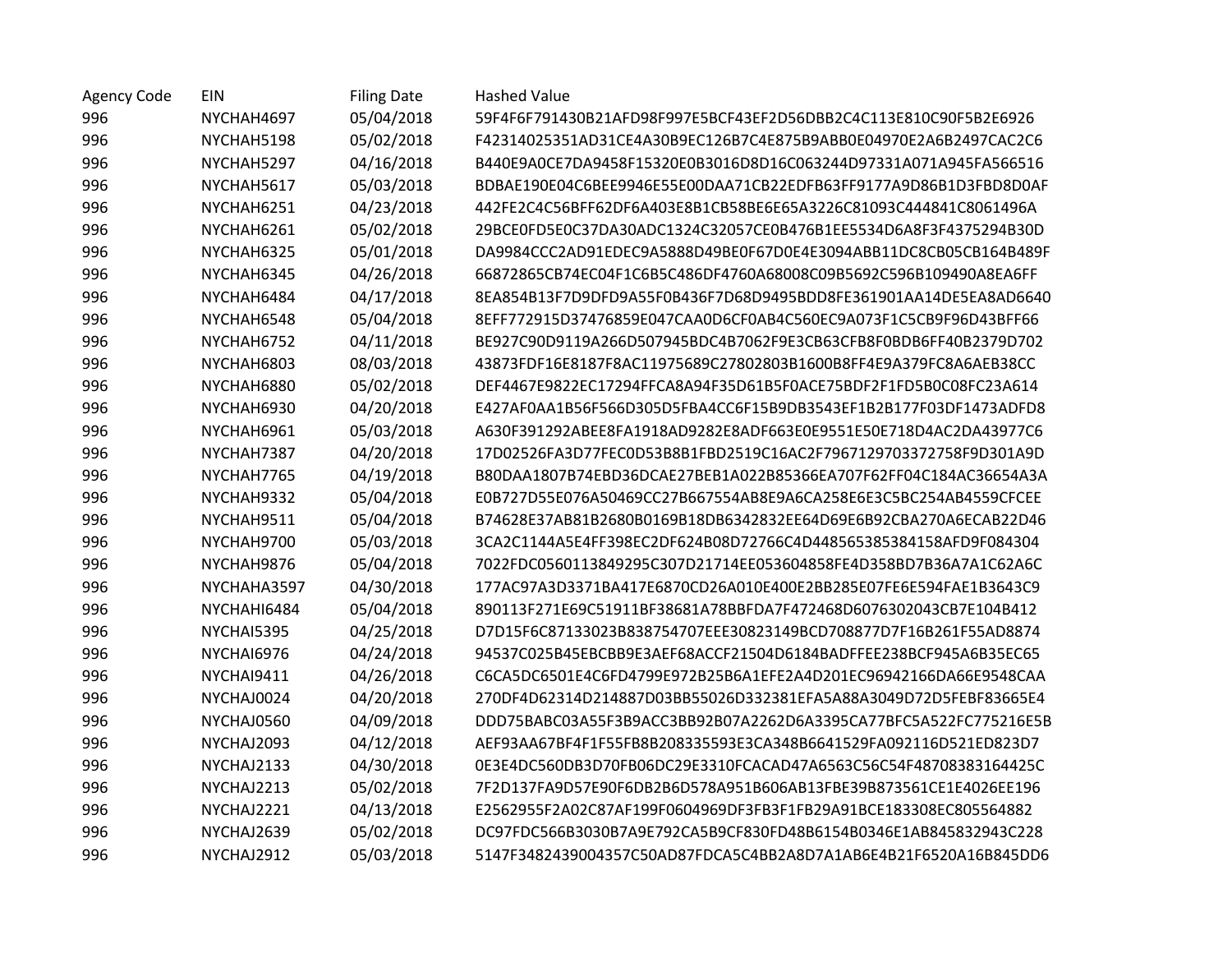| Agency Code | EIN         | <b>Filing Date</b> | <b>Hashed Value</b>                                              |
|-------------|-------------|--------------------|------------------------------------------------------------------|
| 996         | NYCHAH4697  | 05/04/2018         | 59F4F6F791430B21AFD98F997E5BCF43EF2D56DBB2C4C113E810C90F5B2E6926 |
| 996         | NYCHAH5198  | 05/02/2018         | F42314025351AD31CE4A30B9EC126B7C4E875B9ABB0E04970E2A6B2497CAC2C6 |
| 996         | NYCHAH5297  | 04/16/2018         | B440E9A0CE7DA9458F15320E0B3016D8D16C063244D97331A071A945FA566516 |
| 996         | NYCHAH5617  | 05/03/2018         | BDBAE190E04C6BEE9946E55E00DAA71CB22EDFB63FF9177A9D86B1D3FBD8D0AF |
| 996         | NYCHAH6251  | 04/23/2018         | 442FE2C4C56BFF62DF6A403E8B1CB58BE6E65A3226C81093C444841C8061496A |
| 996         | NYCHAH6261  | 05/02/2018         | 29BCE0FD5E0C37DA30ADC1324C32057CE0B476B1EE5534D6A8F3F4375294B30D |
| 996         | NYCHAH6325  | 05/01/2018         | DA9984CCC2AD91EDEC9A5888D49BE0F67D0E4E3094ABB11DC8CB05CB164B489F |
| 996         | NYCHAH6345  | 04/26/2018         | 66872865CB74EC04F1C6B5C486DF4760A68008C09B5692C596B109490A8EA6FF |
| 996         | NYCHAH6484  | 04/17/2018         | 8EA854B13F7D9DFD9A55F0B436F7D68D9495BDD8FE361901AA14DE5EA8AD6640 |
| 996         | NYCHAH6548  | 05/04/2018         | 8EFF772915D37476859E047CAA0D6CF0AB4C560EC9A073F1C5CB9F96D43BFF66 |
| 996         | NYCHAH6752  | 04/11/2018         | BE927C90D9119A266D507945BDC4B7062F9E3CB63CFB8F0BDB6FF40B2379D702 |
| 996         | NYCHAH6803  | 08/03/2018         | 43873FDF16E8187F8AC11975689C27802803B1600B8FF4E9A379FC8A6AEB38CC |
| 996         | NYCHAH6880  | 05/02/2018         | DEF4467E9822EC17294FFCA8A94F35D61B5F0ACE75BDF2F1FD5B0C08FC23A614 |
| 996         | NYCHAH6930  | 04/20/2018         | E427AF0AA1B56F566D305D5FBA4CC6F15B9DB3543EF1B2B177F03DF1473ADFD8 |
| 996         | NYCHAH6961  | 05/03/2018         | A630F391292ABEE8FA1918AD9282E8ADF663E0E9551E50E718D4AC2DA43977C6 |
| 996         | NYCHAH7387  | 04/20/2018         | 17D02526FA3D77FEC0D53B8B1FBD2519C16AC2F7967129703372758F9D301A9D |
| 996         | NYCHAH7765  | 04/19/2018         | B80DAA1807B74EBD36DCAE27BEB1A022B85366EA707F62FF04C184AC36654A3A |
| 996         | NYCHAH9332  | 05/04/2018         | E0B727D55E076A50469CC27B667554AB8E9A6CA258E6E3C5BC254AB4559CFCEE |
| 996         | NYCHAH9511  | 05/04/2018         | B74628E37AB81B2680B0169B18DB6342832EE64D69E6B92CBA270A6ECAB22D46 |
| 996         | NYCHAH9700  | 05/03/2018         | 3CA2C1144A5E4FF398EC2DF624B08D72766C4D448565385384158AFD9F084304 |
| 996         | NYCHAH9876  | 05/04/2018         | 7022FDC0560113849295C307D21714EE053604858FE4D358BD7B36A7A1C62A6C |
| 996         | NYCHAHA3597 | 04/30/2018         | 177AC97A3D3371BA417E6870CD26A010E400E2BB285E07FE6E594FAE1B3643C9 |
| 996         | NYCHAHI6484 | 05/04/2018         | 890113F271E69C51911BF38681A78BBFDA7F472468D6076302043CB7E104B412 |
| 996         | NYCHAI5395  | 04/25/2018         | D7D15F6C87133023B838754707EEE30823149BCD708877D7F16B261F55AD8874 |
| 996         | NYCHAI6976  | 04/24/2018         | 94537C025B45EBCBB9E3AEF68ACCF21504D6184BADFFEE238BCF945A6B35EC65 |
| 996         | NYCHAI9411  | 04/26/2018         | C6CA5DC6501E4C6FD4799E972B25B6A1EFE2A4D201EC96942166DA66E9548CAA |
| 996         | NYCHAJ0024  | 04/20/2018         | 270DF4D62314D214887D03BB55026D332381EFA5A88A3049D72D5FEBF83665E4 |
| 996         | NYCHAJ0560  | 04/09/2018         | DDD75BABC03A55F3B9ACC3BB92B07A2262D6A3395CA77BFC5A522FC775216E5B |
| 996         | NYCHAJ2093  | 04/12/2018         | AEF93AA67BF4F1F55FB8B208335593E3CA348B6641529FA092116D521ED823D7 |
| 996         | NYCHAJ2133  | 04/30/2018         | 0E3E4DC560DB3D70FB06DC29E3310FCACAD47A6563C56C54F48708383164425C |
| 996         | NYCHAJ2213  | 05/02/2018         | 7F2D137FA9D57E90F6DB2B6D578A951B606AB13FBE39B873561CE1E4026EE196 |
| 996         | NYCHAJ2221  | 04/13/2018         | E2562955F2A02C87AF199F0604969DF3FB3F1FB29A91BCE183308EC805564882 |
| 996         | NYCHAJ2639  | 05/02/2018         | DC97FDC566B3030B7A9E792CA5B9CF830FD48B6154B0346E1AB845832943C228 |
| 996         | NYCHAJ2912  | 05/03/2018         | 5147F3482439004357C50AD87FDCA5C4BB2A8D7A1AB6E4B21F6520A16B845DD6 |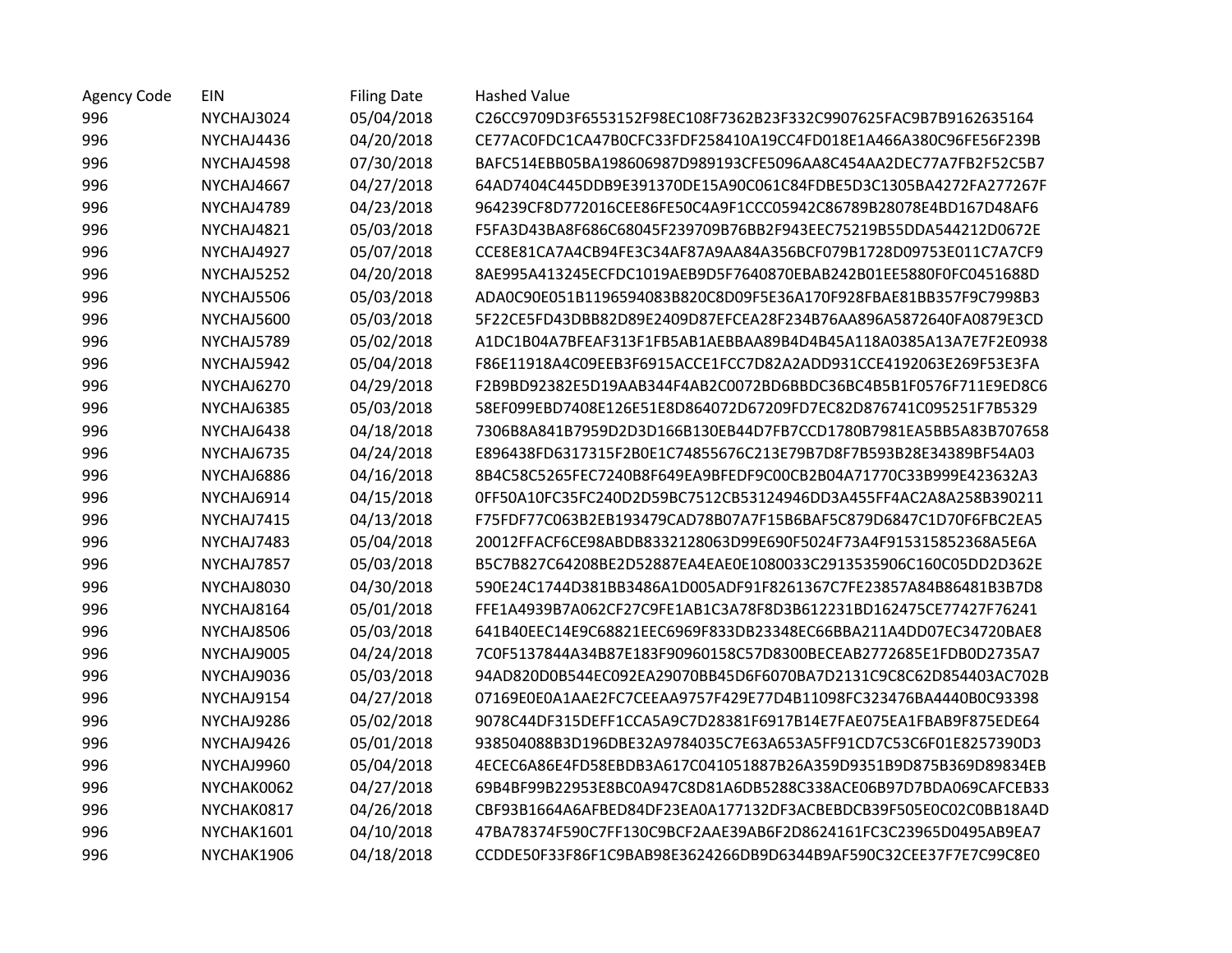| <b>Agency Code</b> | EIN        | <b>Filing Date</b> | <b>Hashed Value</b>                                              |
|--------------------|------------|--------------------|------------------------------------------------------------------|
| 996                | NYCHAJ3024 | 05/04/2018         | C26CC9709D3F6553152F98EC108F7362B23F332C9907625FAC9B7B9162635164 |
| 996                | NYCHAJ4436 | 04/20/2018         | CE77AC0FDC1CA47B0CFC33FDF258410A19CC4FD018E1A466A380C96FE56F239B |
| 996                | NYCHAJ4598 | 07/30/2018         | BAFC514EBB05BA198606987D989193CFE5096AA8C454AA2DEC77A7FB2F52C5B7 |
| 996                | NYCHAJ4667 | 04/27/2018         | 64AD7404C445DDB9E391370DE15A90C061C84FDBE5D3C1305BA4272FA277267F |
| 996                | NYCHAJ4789 | 04/23/2018         | 964239CF8D772016CEE86FE50C4A9F1CCC05942C86789B28078E4BD167D48AF6 |
| 996                | NYCHAJ4821 | 05/03/2018         | F5FA3D43BA8F686C68045F239709B76BB2F943EEC75219B55DDA544212D0672E |
| 996                | NYCHAJ4927 | 05/07/2018         | CCE8E81CA7A4CB94FE3C34AF87A9AA84A356BCF079B1728D09753E011C7A7CF9 |
| 996                | NYCHAJ5252 | 04/20/2018         | 8AE995A413245ECFDC1019AEB9D5F7640870EBAB242B01EE5880F0FC0451688D |
| 996                | NYCHAJ5506 | 05/03/2018         | ADA0C90E051B1196594083B820C8D09F5E36A170F928FBAE81BB357F9C7998B3 |
| 996                | NYCHAJ5600 | 05/03/2018         | 5F22CE5FD43DBB82D89E2409D87EFCEA28F234B76AA896A5872640FA0879E3CD |
| 996                | NYCHAJ5789 | 05/02/2018         | A1DC1B04A7BFEAF313F1FB5AB1AEBBAA89B4D4B45A118A0385A13A7E7F2E0938 |
| 996                | NYCHAJ5942 | 05/04/2018         | F86E11918A4C09EEB3F6915ACCE1FCC7D82A2ADD931CCE4192063E269F53E3FA |
| 996                | NYCHAJ6270 | 04/29/2018         | F2B9BD92382E5D19AAB344F4AB2C0072BD6BBDC36BC4B5B1F0576F711E9ED8C6 |
| 996                | NYCHAJ6385 | 05/03/2018         | 58EF099EBD7408E126E51E8D864072D67209FD7EC82D876741C095251F7B5329 |
| 996                | NYCHAJ6438 | 04/18/2018         | 7306B8A841B7959D2D3D166B130EB44D7FB7CCD1780B7981EA5BB5A83B707658 |
| 996                | NYCHAJ6735 | 04/24/2018         | E896438FD6317315F2B0E1C74855676C213E79B7D8F7B593B28E34389BF54A03 |
| 996                | NYCHAJ6886 | 04/16/2018         | 8B4C58C5265FEC7240B8F649EA9BFEDF9C00CB2B04A71770C33B999E423632A3 |
| 996                | NYCHAJ6914 | 04/15/2018         | 0FF50A10FC35FC240D2D59BC7512CB53124946DD3A455FF4AC2A8A258B390211 |
| 996                | NYCHAJ7415 | 04/13/2018         | F75FDF77C063B2EB193479CAD78B07A7F15B6BAF5C879D6847C1D70F6FBC2EA5 |
| 996                | NYCHAJ7483 | 05/04/2018         | 20012FFACF6CE98ABDB8332128063D99E690F5024F73A4F915315852368A5E6A |
| 996                | NYCHAJ7857 | 05/03/2018         | B5C7B827C64208BE2D52887EA4EAE0E1080033C2913535906C160C05DD2D362E |
| 996                | NYCHAJ8030 | 04/30/2018         | 590E24C1744D381BB3486A1D005ADF91F8261367C7FE23857A84B86481B3B7D8 |
| 996                | NYCHAJ8164 | 05/01/2018         | FFE1A4939B7A062CF27C9FE1AB1C3A78F8D3B612231BD162475CE77427F76241 |
| 996                | NYCHAJ8506 | 05/03/2018         | 641B40EEC14E9C68821EEC6969F833DB23348EC66BBA211A4DD07EC34720BAE8 |
| 996                | NYCHAJ9005 | 04/24/2018         | 7C0F5137844A34B87E183F90960158C57D8300BECEAB2772685E1FDB0D2735A7 |
| 996                | NYCHAJ9036 | 05/03/2018         | 94AD820D0B544EC092EA29070BB45D6F6070BA7D2131C9C8C62D854403AC702B |
| 996                | NYCHAJ9154 | 04/27/2018         | 07169E0E0A1AAE2FC7CEEAA9757F429E77D4B11098FC323476BA4440B0C93398 |
| 996                | NYCHAJ9286 | 05/02/2018         | 9078C44DF315DEFF1CCA5A9C7D28381F6917B14E7FAE075EA1FBAB9F875EDE64 |
| 996                | NYCHAJ9426 | 05/01/2018         | 938504088B3D196DBE32A9784035C7E63A653A5FF91CD7C53C6F01E8257390D3 |
| 996                | NYCHAJ9960 | 05/04/2018         | 4ECEC6A86E4FD58EBDB3A617C041051887B26A359D9351B9D875B369D89834EB |
| 996                | NYCHAK0062 | 04/27/2018         | 69B4BF99B22953E8BC0A947C8D81A6DB5288C338ACE06B97D7BDA069CAFCEB33 |
| 996                | NYCHAK0817 | 04/26/2018         | CBF93B1664A6AFBED84DF23EA0A177132DF3ACBEBDCB39F505E0C02C0BB18A4D |
| 996                | NYCHAK1601 | 04/10/2018         | 47BA78374F590C7FF130C9BCF2AAE39AB6F2D8624161FC3C23965D0495AB9EA7 |
| 996                | NYCHAK1906 | 04/18/2018         | CCDDE50F33F86F1C9BAB98E3624266DB9D6344B9AF590C32CEE37F7E7C99C8E0 |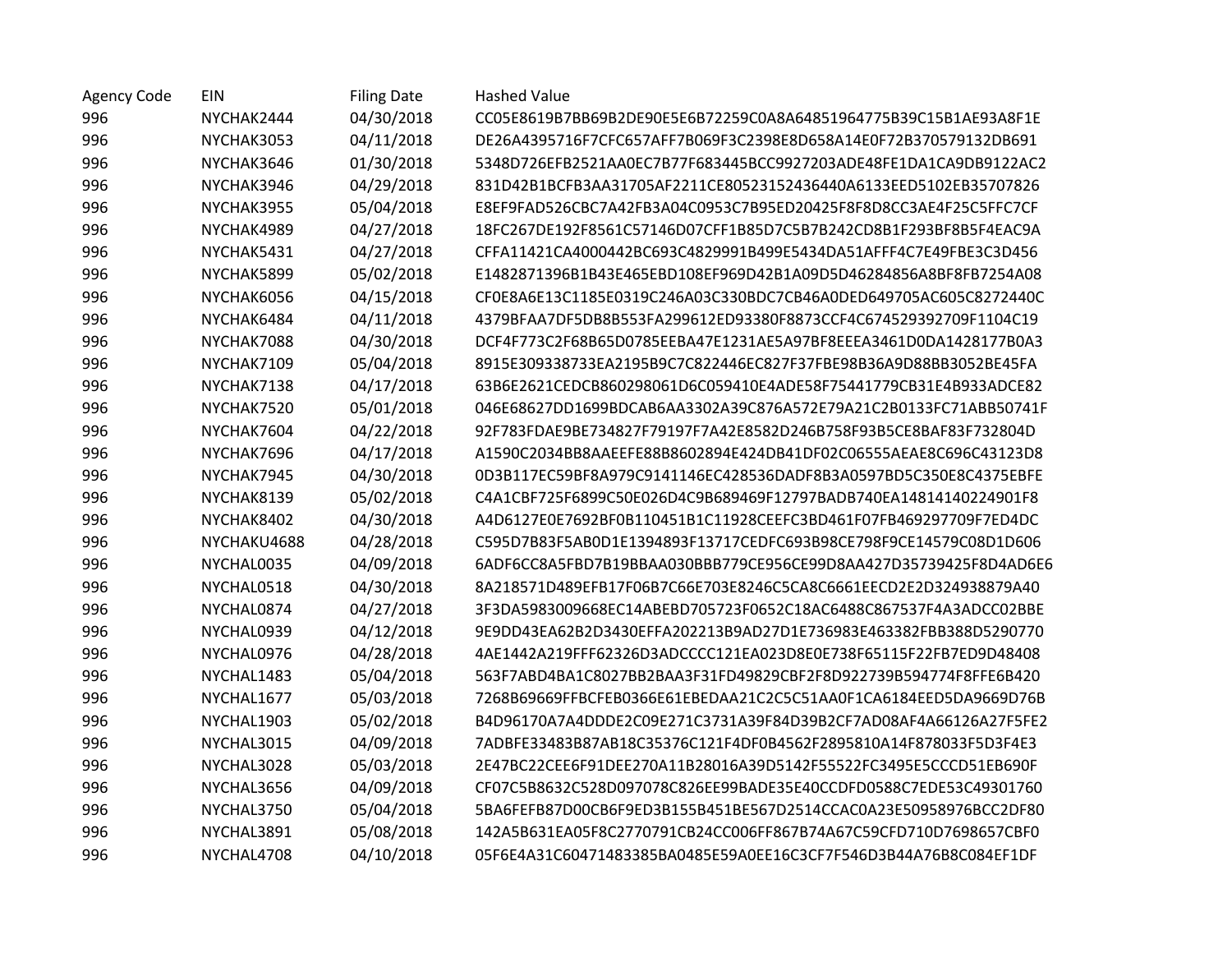| <b>Agency Code</b> | EIN         | <b>Filing Date</b> | <b>Hashed Value</b>                                              |
|--------------------|-------------|--------------------|------------------------------------------------------------------|
| 996                | NYCHAK2444  | 04/30/2018         | CC05E8619B7BB69B2DE90E5E6B72259C0A8A64851964775B39C15B1AE93A8F1E |
| 996                | NYCHAK3053  | 04/11/2018         | DE26A4395716F7CFC657AFF7B069F3C2398E8D658A14E0F72B370579132DB691 |
| 996                | NYCHAK3646  | 01/30/2018         | 5348D726EFB2521AA0EC7B77F683445BCC9927203ADE48FE1DA1CA9DB9122AC2 |
| 996                | NYCHAK3946  | 04/29/2018         | 831D42B1BCFB3AA31705AF2211CE80523152436440A6133EED5102EB35707826 |
| 996                | NYCHAK3955  | 05/04/2018         | E8EF9FAD526CBC7A42FB3A04C0953C7B95ED20425F8F8D8CC3AE4F25C5FFC7CF |
| 996                | NYCHAK4989  | 04/27/2018         | 18FC267DE192F8561C57146D07CFF1B85D7C5B7B242CD8B1F293BF8B5F4EAC9A |
| 996                | NYCHAK5431  | 04/27/2018         | CFFA11421CA4000442BC693C4829991B499E5434DA51AFFF4C7E49FBE3C3D456 |
| 996                | NYCHAK5899  | 05/02/2018         | E1482871396B1B43E465EBD108EF969D42B1A09D5D46284856A8BF8FB7254A08 |
| 996                | NYCHAK6056  | 04/15/2018         | CF0E8A6E13C1185E0319C246A03C330BDC7CB46A0DED649705AC605C8272440C |
| 996                | NYCHAK6484  | 04/11/2018         | 4379BFAA7DF5DB8B553FA299612ED93380F8873CCF4C674529392709F1104C19 |
| 996                | NYCHAK7088  | 04/30/2018         | DCF4F773C2F68B65D0785EEBA47E1231AE5A97BF8EEEA3461D0DA1428177B0A3 |
| 996                | NYCHAK7109  | 05/04/2018         | 8915E309338733EA2195B9C7C822446EC827F37FBE98B36A9D88BB3052BE45FA |
| 996                | NYCHAK7138  | 04/17/2018         | 63B6E2621CEDCB860298061D6C059410E4ADE58F75441779CB31E4B933ADCE82 |
| 996                | NYCHAK7520  | 05/01/2018         | 046E68627DD1699BDCAB6AA3302A39C876A572E79A21C2B0133FC71ABB50741F |
| 996                | NYCHAK7604  | 04/22/2018         | 92F783FDAE9BE734827F79197F7A42E8582D246B758F93B5CE8BAF83F732804D |
| 996                | NYCHAK7696  | 04/17/2018         | A1590C2034BB8AAEEFE88B8602894E424DB41DF02C06555AEAE8C696C43123D8 |
| 996                | NYCHAK7945  | 04/30/2018         | 0D3B117EC59BF8A979C9141146EC428536DADF8B3A0597BD5C350E8C4375EBFE |
| 996                | NYCHAK8139  | 05/02/2018         | C4A1CBF725F6899C50E026D4C9B689469F12797BADB740EA14814140224901F8 |
| 996                | NYCHAK8402  | 04/30/2018         | A4D6127E0E7692BF0B110451B1C11928CEEFC3BD461F07FB469297709F7ED4DC |
| 996                | NYCHAKU4688 | 04/28/2018         | C595D7B83F5AB0D1E1394893F13717CEDFC693B98CE798F9CE14579C08D1D606 |
| 996                | NYCHAL0035  | 04/09/2018         | 6ADF6CC8A5FBD7B19BBAA030BBB779CE956CE99D8AA427D35739425F8D4AD6E6 |
| 996                | NYCHAL0518  | 04/30/2018         | 8A218571D489EFB17F06B7C66E703E8246C5CA8C6661EECD2E2D324938879A40 |
| 996                | NYCHAL0874  | 04/27/2018         | 3F3DA5983009668EC14ABEBD705723F0652C18AC6488C867537F4A3ADCC02BBE |
| 996                | NYCHAL0939  | 04/12/2018         | 9E9DD43EA62B2D3430EFFA202213B9AD27D1E736983E463382FBB388D5290770 |
| 996                | NYCHAL0976  | 04/28/2018         | 4AE1442A219FFF62326D3ADCCCC121EA023D8E0E738F65115F22FB7ED9D48408 |
| 996                | NYCHAL1483  | 05/04/2018         | 563F7ABD4BA1C8027BB2BAA3F31FD49829CBF2F8D922739B594774F8FFE6B420 |
| 996                | NYCHAL1677  | 05/03/2018         | 7268B69669FFBCFEB0366E61EBEDAA21C2C5C51AA0F1CA6184EED5DA9669D76B |
| 996                | NYCHAL1903  | 05/02/2018         | B4D96170A7A4DDDE2C09E271C3731A39F84D39B2CF7AD08AF4A66126A27F5FE2 |
| 996                | NYCHAL3015  | 04/09/2018         | 7ADBFE33483B87AB18C35376C121F4DF0B4562F2895810A14F878033F5D3F4E3 |
| 996                | NYCHAL3028  | 05/03/2018         | 2E47BC22CEE6F91DEE270A11B28016A39D5142F55522FC3495E5CCCD51EB690F |
| 996                | NYCHAL3656  | 04/09/2018         | CF07C5B8632C528D097078C826EE99BADE35E40CCDFD0588C7EDE53C49301760 |
| 996                | NYCHAL3750  | 05/04/2018         | 5BA6FEFB87D00CB6F9ED3B155B451BE567D2514CCAC0A23E50958976BCC2DF80 |
| 996                | NYCHAL3891  | 05/08/2018         | 142A5B631EA05F8C2770791CB24CC006FF867B74A67C59CFD710D7698657CBF0 |
| 996                | NYCHAL4708  | 04/10/2018         | 05F6E4A31C60471483385BA0485E59A0EE16C3CF7F546D3B44A76B8C084EF1DF |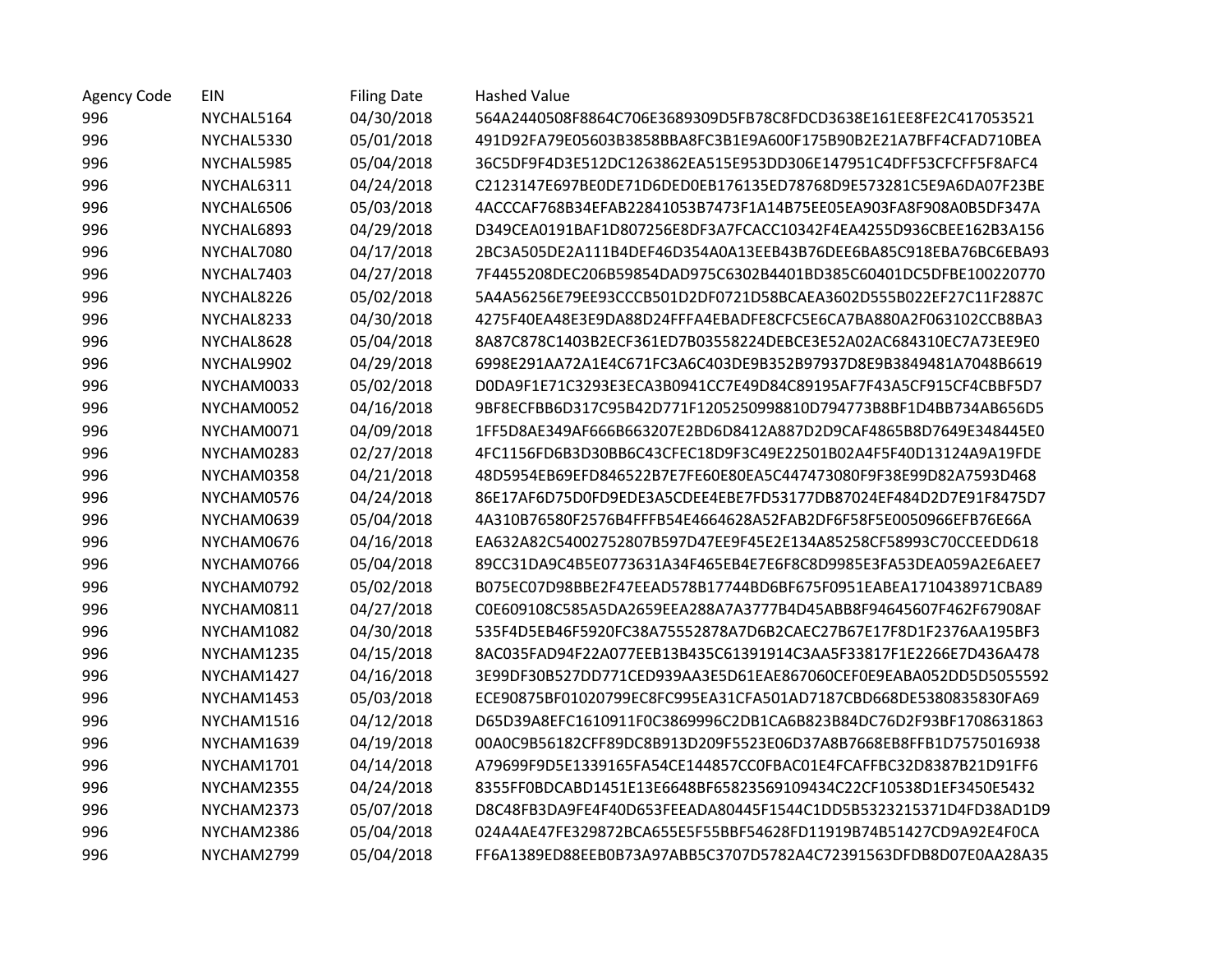| <b>Agency Code</b> | EIN        | <b>Filing Date</b> | <b>Hashed Value</b>                                              |
|--------------------|------------|--------------------|------------------------------------------------------------------|
| 996                | NYCHAL5164 | 04/30/2018         | 564A2440508F8864C706E3689309D5FB78C8FDCD3638E161EE8FE2C417053521 |
| 996                | NYCHAL5330 | 05/01/2018         | 491D92FA79E05603B3858BBA8FC3B1E9A600F175B90B2E21A7BFF4CFAD710BEA |
| 996                | NYCHAL5985 | 05/04/2018         | 36C5DF9F4D3E512DC1263862EA515E953DD306E147951C4DFF53CFCFF5F8AFC4 |
| 996                | NYCHAL6311 | 04/24/2018         | C2123147E697BE0DE71D6DED0EB176135ED78768D9E573281C5E9A6DA07F23BE |
| 996                | NYCHAL6506 | 05/03/2018         | 4ACCCAF768B34EFAB22841053B7473F1A14B75EE05EA903FA8F908A0B5DF347A |
| 996                | NYCHAL6893 | 04/29/2018         | D349CEA0191BAF1D807256E8DF3A7FCACC10342F4EA4255D936CBEE162B3A156 |
| 996                | NYCHAL7080 | 04/17/2018         | 2BC3A505DE2A111B4DEF46D354A0A13EEB43B76DEE6BA85C918EBA76BC6EBA93 |
| 996                | NYCHAL7403 | 04/27/2018         | 7F4455208DEC206B59854DAD975C6302B4401BD385C60401DC5DFBE100220770 |
| 996                | NYCHAL8226 | 05/02/2018         | 5A4A56256E79EE93CCCB501D2DF0721D58BCAEA3602D555B022EF27C11F2887C |
| 996                | NYCHAL8233 | 04/30/2018         | 4275F40EA48E3E9DA88D24FFFA4EBADFE8CFC5E6CA7BA880A2F063102CCB8BA3 |
| 996                | NYCHAL8628 | 05/04/2018         | 8A87C878C1403B2ECF361ED7B03558224DEBCE3E52A02AC684310EC7A73EE9E0 |
| 996                | NYCHAL9902 | 04/29/2018         | 6998E291AA72A1E4C671FC3A6C403DE9B352B97937D8E9B3849481A7048B6619 |
| 996                | NYCHAM0033 | 05/02/2018         | D0DA9F1E71C3293E3ECA3B0941CC7E49D84C89195AF7F43A5CF915CF4CBBF5D7 |
| 996                | NYCHAM0052 | 04/16/2018         | 9BF8ECFBB6D317C95B42D771F1205250998810D794773B8BF1D4BB734AB656D5 |
| 996                | NYCHAM0071 | 04/09/2018         | 1FF5D8AE349AF666B663207E2BD6D8412A887D2D9CAF4865B8D7649E348445E0 |
| 996                | NYCHAM0283 | 02/27/2018         | 4FC1156FD6B3D30BB6C43CFEC18D9F3C49E22501B02A4F5F40D13124A9A19FDE |
| 996                | NYCHAM0358 | 04/21/2018         | 48D5954EB69EFD846522B7E7FE60E80EA5C447473080F9F38E99D82A7593D468 |
| 996                | NYCHAM0576 | 04/24/2018         | 86E17AF6D75D0FD9EDE3A5CDEE4EBE7FD53177DB87024EF484D2D7E91F8475D7 |
| 996                | NYCHAM0639 | 05/04/2018         | 4A310B76580F2576B4FFFB54E4664628A52FAB2DF6F58F5E0050966EFB76E66A |
| 996                | NYCHAM0676 | 04/16/2018         | EA632A82C54002752807B597D47EE9F45E2E134A85258CF58993C70CCEEDD618 |
| 996                | NYCHAM0766 | 05/04/2018         | 89CC31DA9C4B5E0773631A34F465EB4E7E6F8C8D9985E3FA53DEA059A2E6AEE7 |
| 996                | NYCHAM0792 | 05/02/2018         | B075EC07D98BBE2F47EEAD578B17744BD6BF675F0951EABEA1710438971CBA89 |
| 996                | NYCHAM0811 | 04/27/2018         | C0E609108C585A5DA2659EEA288A7A3777B4D45ABB8F94645607F462F67908AF |
| 996                | NYCHAM1082 | 04/30/2018         | 535F4D5EB46F5920FC38A75552878A7D6B2CAEC27B67E17F8D1F2376AA195BF3 |
| 996                | NYCHAM1235 | 04/15/2018         | 8AC035FAD94F22A077EEB13B435C61391914C3AA5F33817F1E2266E7D436A478 |
| 996                | NYCHAM1427 | 04/16/2018         | 3E99DF30B527DD771CED939AA3E5D61EAE867060CEF0E9EABA052DD5D5055592 |
| 996                | NYCHAM1453 | 05/03/2018         | ECE90875BF01020799EC8FC995EA31CFA501AD7187CBD668DE5380835830FA69 |
| 996                | NYCHAM1516 | 04/12/2018         | D65D39A8EFC1610911F0C3869996C2DB1CA6B823B84DC76D2F93BF1708631863 |
| 996                | NYCHAM1639 | 04/19/2018         | 00A0C9B56182CFF89DC8B913D209F5523E06D37A8B7668EB8FFB1D7575016938 |
| 996                | NYCHAM1701 | 04/14/2018         | A79699F9D5E1339165FA54CE144857CC0FBAC01E4FCAFFBC32D8387B21D91FF6 |
| 996                | NYCHAM2355 | 04/24/2018         | 8355FF0BDCABD1451E13E6648BF65823569109434C22CF10538D1EF3450E5432 |
| 996                | NYCHAM2373 | 05/07/2018         | D8C48FB3DA9FE4F40D653FEEADA80445F1544C1DD5B5323215371D4FD38AD1D9 |
| 996                | NYCHAM2386 | 05/04/2018         | 024A4AE47FE329872BCA655E5F55BBF54628FD11919B74B51427CD9A92E4F0CA |
| 996                | NYCHAM2799 | 05/04/2018         | FF6A1389ED88EEB0B73A97ABB5C3707D5782A4C72391563DFDB8D07E0AA28A35 |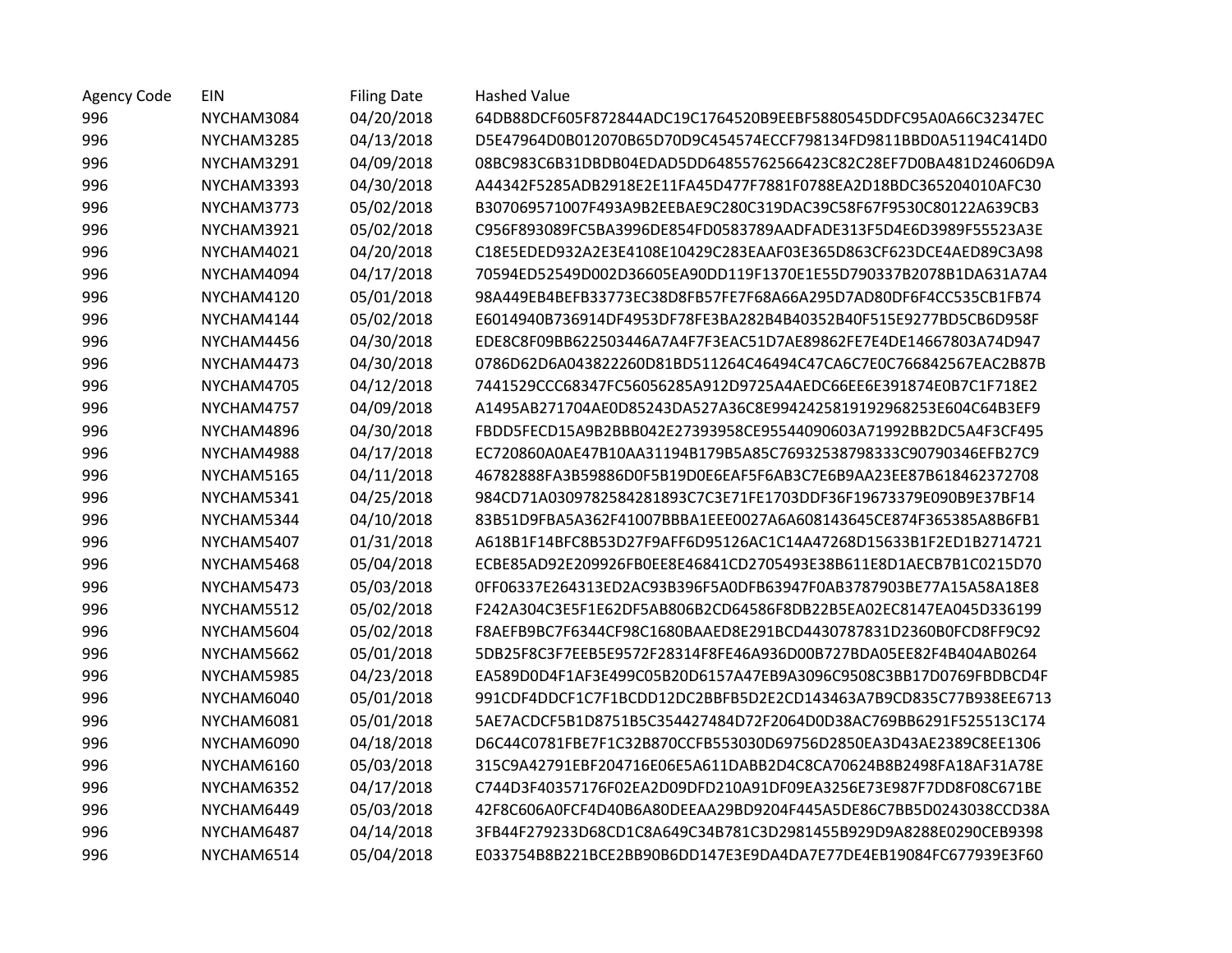| <b>Agency Code</b> | EIN        | <b>Filing Date</b> | Hashed Value                                                     |
|--------------------|------------|--------------------|------------------------------------------------------------------|
| 996                | NYCHAM3084 | 04/20/2018         | 64DB88DCF605F872844ADC19C1764520B9EEBF5880545DDFC95A0A66C32347EC |
| 996                | NYCHAM3285 | 04/13/2018         | D5E47964D0B012070B65D70D9C454574ECCF798134FD9811BBD0A51194C414D0 |
| 996                | NYCHAM3291 | 04/09/2018         | 08BC983C6B31DBDB04EDAD5DD64855762566423C82C28EF7D0BA481D24606D9A |
| 996                | NYCHAM3393 | 04/30/2018         | A44342F5285ADB2918E2E11FA45D477F7881F0788EA2D18BDC365204010AFC30 |
| 996                | NYCHAM3773 | 05/02/2018         | B307069571007F493A9B2EEBAE9C280C319DAC39C58F67F9530C80122A639CB3 |
| 996                | NYCHAM3921 | 05/02/2018         | C956F893089FC5BA3996DE854FD0583789AADFADE313F5D4E6D3989F55523A3E |
| 996                | NYCHAM4021 | 04/20/2018         | C18E5EDED932A2E3E4108E10429C283EAAF03E365D863CF623DCE4AED89C3A98 |
| 996                | NYCHAM4094 | 04/17/2018         | 70594ED52549D002D36605EA90DD119F1370E1E55D790337B2078B1DA631A7A4 |
| 996                | NYCHAM4120 | 05/01/2018         | 98A449EB4BEFB33773EC38D8FB57FE7F68A66A295D7AD80DF6F4CC535CB1FB74 |
| 996                | NYCHAM4144 | 05/02/2018         | E6014940B736914DF4953DF78FE3BA282B4B40352B40F515E9277BD5CB6D958F |
| 996                | NYCHAM4456 | 04/30/2018         | EDE8C8F09BB622503446A7A4F7F3EAC51D7AE89862FE7E4DE14667803A74D947 |
| 996                | NYCHAM4473 | 04/30/2018         | 0786D62D6A043822260D81BD511264C46494C47CA6C7E0C766842567EAC2B87B |
| 996                | NYCHAM4705 | 04/12/2018         | 7441529CCC68347FC56056285A912D9725A4AEDC66EE6E391874E0B7C1F718E2 |
| 996                | NYCHAM4757 | 04/09/2018         | A1495AB271704AE0D85243DA527A36C8E9942425819192968253E604C64B3EF9 |
| 996                | NYCHAM4896 | 04/30/2018         | FBDD5FECD15A9B2BBB042E27393958CE95544090603A71992BB2DC5A4F3CF495 |
| 996                | NYCHAM4988 | 04/17/2018         | EC720860A0AE47B10AA31194B179B5A85C76932538798333C90790346EFB27C9 |
| 996                | NYCHAM5165 | 04/11/2018         | 46782888FA3B59886D0F5B19D0E6EAF5F6AB3C7E6B9AA23EE87B618462372708 |
| 996                | NYCHAM5341 | 04/25/2018         | 984CD71A0309782584281893C7C3E71FE1703DDF36F19673379E090B9E37BF14 |
| 996                | NYCHAM5344 | 04/10/2018         | 83B51D9FBA5A362F41007BBBA1EEE0027A6A608143645CE874F365385A8B6FB1 |
| 996                | NYCHAM5407 | 01/31/2018         | A618B1F14BFC8B53D27F9AFF6D95126AC1C14A47268D15633B1F2ED1B2714721 |
| 996                | NYCHAM5468 | 05/04/2018         | ECBE85AD92E209926FB0EE8E46841CD2705493E38B611E8D1AECB7B1C0215D70 |
| 996                | NYCHAM5473 | 05/03/2018         | 0FF06337E264313ED2AC93B396F5A0DFB63947F0AB3787903BE77A15A58A18E8 |
| 996                | NYCHAM5512 | 05/02/2018         | F242A304C3E5F1E62DF5AB806B2CD64586F8DB22B5EA02EC8147EA045D336199 |
| 996                | NYCHAM5604 | 05/02/2018         | F8AEFB9BC7F6344CF98C1680BAAED8E291BCD4430787831D2360B0FCD8FF9C92 |
| 996                | NYCHAM5662 | 05/01/2018         | 5DB25F8C3F7EEB5E9572F28314F8FE46A936D00B727BDA05EE82F4B404AB0264 |
| 996                | NYCHAM5985 | 04/23/2018         | EA589D0D4F1AF3E499C05B20D6157A47EB9A3096C9508C3BB17D0769FBDBCD4F |
| 996                | NYCHAM6040 | 05/01/2018         | 991CDF4DDCF1C7F1BCDD12DC2BBFB5D2E2CD143463A7B9CD835C77B938EE6713 |
| 996                | NYCHAM6081 | 05/01/2018         | 5AE7ACDCF5B1D8751B5C354427484D72F2064D0D38AC769BB6291F525513C174 |
| 996                | NYCHAM6090 | 04/18/2018         | D6C44C0781FBE7F1C32B870CCFB553030D69756D2850EA3D43AE2389C8EE1306 |
| 996                | NYCHAM6160 | 05/03/2018         | 315C9A42791EBF204716E06E5A611DABB2D4C8CA70624B8B2498FA18AF31A78E |
| 996                | NYCHAM6352 | 04/17/2018         | C744D3F40357176F02EA2D09DFD210A91DF09EA3256E73E987F7DD8F08C671BE |
| 996                | NYCHAM6449 | 05/03/2018         | 42F8C606A0FCF4D40B6A80DEEAA29BD9204F445A5DE86C7BB5D0243038CCD38A |
| 996                | NYCHAM6487 | 04/14/2018         | 3FB44F279233D68CD1C8A649C34B781C3D2981455B929D9A8288E0290CEB9398 |
| 996                | NYCHAM6514 | 05/04/2018         | E033754B8B221BCE2BB90B6DD147E3E9DA4DA7E77DE4EB19084FC677939E3F60 |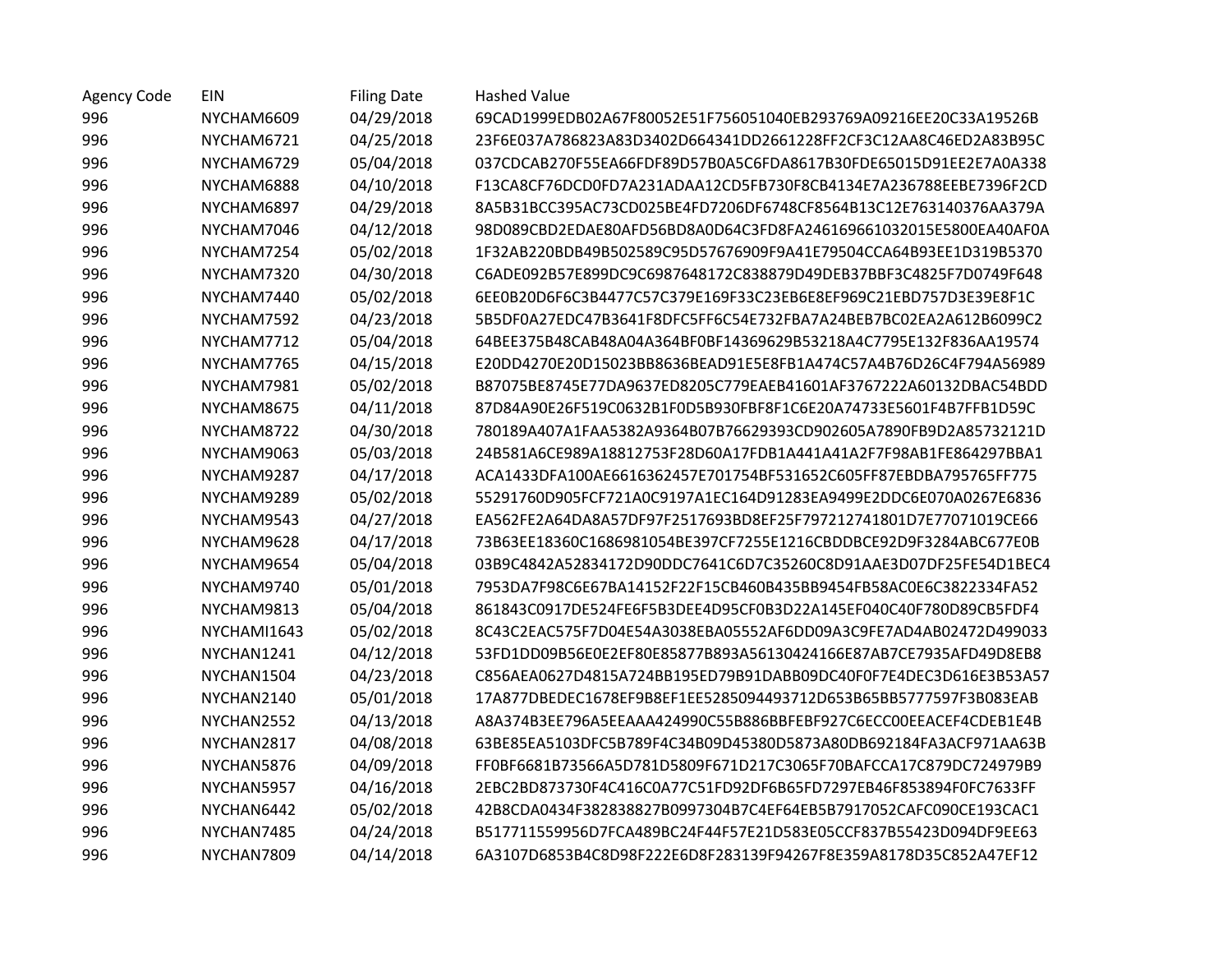| Agency Code | EIN         | <b>Filing Date</b> | <b>Hashed Value</b>                                              |
|-------------|-------------|--------------------|------------------------------------------------------------------|
| 996         | NYCHAM6609  | 04/29/2018         | 69CAD1999EDB02A67F80052E51F756051040EB293769A09216EE20C33A19526B |
| 996         | NYCHAM6721  | 04/25/2018         | 23F6E037A786823A83D3402D664341DD2661228FF2CF3C12AA8C46ED2A83B95C |
| 996         | NYCHAM6729  | 05/04/2018         | 037CDCAB270F55EA66FDF89D57B0A5C6FDA8617B30FDE65015D91EE2E7A0A338 |
| 996         | NYCHAM6888  | 04/10/2018         | F13CA8CF76DCD0FD7A231ADAA12CD5FB730F8CB4134E7A236788EEBE7396F2CD |
| 996         | NYCHAM6897  | 04/29/2018         | 8A5B31BCC395AC73CD025BE4FD7206DF6748CF8564B13C12E763140376AA379A |
| 996         | NYCHAM7046  | 04/12/2018         | 98D089CBD2EDAE80AFD56BD8A0D64C3FD8FA246169661032015E5800EA40AF0A |
| 996         | NYCHAM7254  | 05/02/2018         | 1F32AB220BDB49B502589C95D57676909F9A41E79504CCA64B93EE1D319B5370 |
| 996         | NYCHAM7320  | 04/30/2018         | C6ADE092B57E899DC9C6987648172C838879D49DEB37BBF3C4825F7D0749F648 |
| 996         | NYCHAM7440  | 05/02/2018         | 6EE0B20D6F6C3B4477C57C379E169F33C23EB6E8EF969C21EBD757D3E39E8F1C |
| 996         | NYCHAM7592  | 04/23/2018         | 5B5DF0A27EDC47B3641F8DFC5FF6C54E732FBA7A24BEB7BC02EA2A612B6099C2 |
| 996         | NYCHAM7712  | 05/04/2018         | 64BEE375B48CAB48A04A364BF0BF14369629B53218A4C7795E132F836AA19574 |
| 996         | NYCHAM7765  | 04/15/2018         | E20DD4270E20D15023BB8636BEAD91E5E8FB1A474C57A4B76D26C4F794A56989 |
| 996         | NYCHAM7981  | 05/02/2018         | B87075BE8745E77DA9637ED8205C779EAEB41601AF3767222A60132DBAC54BDD |
| 996         | NYCHAM8675  | 04/11/2018         | 87D84A90E26F519C0632B1F0D5B930FBF8F1C6E20A74733E5601F4B7FFB1D59C |
| 996         | NYCHAM8722  | 04/30/2018         | 780189A407A1FAA5382A9364B07B76629393CD902605A7890FB9D2A85732121D |
| 996         | NYCHAM9063  | 05/03/2018         | 24B581A6CE989A18812753F28D60A17FDB1A441A41A2F7F98AB1FE864297BBA1 |
| 996         | NYCHAM9287  | 04/17/2018         | ACA1433DFA100AE6616362457E701754BF531652C605FF87EBDBA795765FF775 |
| 996         | NYCHAM9289  | 05/02/2018         | 55291760D905FCF721A0C9197A1EC164D91283EA9499E2DDC6E070A0267E6836 |
| 996         | NYCHAM9543  | 04/27/2018         | EA562FE2A64DA8A57DF97F2517693BD8EF25F797212741801D7E77071019CE66 |
| 996         | NYCHAM9628  | 04/17/2018         | 73B63EE18360C1686981054BE397CF7255E1216CBDDBCE92D9F3284ABC677E0B |
| 996         | NYCHAM9654  | 05/04/2018         | 03B9C4842A52834172D90DDC7641C6D7C35260C8D91AAE3D07DF25FE54D1BEC4 |
| 996         | NYCHAM9740  | 05/01/2018         | 7953DA7F98C6E67BA14152F22F15CB460B435BB9454FB58AC0E6C3822334FA52 |
| 996         | NYCHAM9813  | 05/04/2018         | 861843C0917DE524FE6F5B3DEE4D95CF0B3D22A145EF040C40F780D89CB5FDF4 |
| 996         | NYCHAMI1643 | 05/02/2018         | 8C43C2EAC575F7D04E54A3038EBA05552AF6DD09A3C9FE7AD4AB02472D499033 |
| 996         | NYCHAN1241  | 04/12/2018         | 53FD1DD09B56E0E2EF80E85877B893A56130424166E87AB7CE7935AFD49D8EB8 |
| 996         | NYCHAN1504  | 04/23/2018         | C856AEA0627D4815A724BB195ED79B91DABB09DC40F0F7E4DEC3D616E3B53A57 |
| 996         | NYCHAN2140  | 05/01/2018         | 17A877DBEDEC1678EF9B8EF1EE5285094493712D653B65BB5777597F3B083EAB |
| 996         | NYCHAN2552  | 04/13/2018         | A8A374B3EE796A5EEAAA424990C55B886BBFEBF927C6ECC00EEACEF4CDEB1E4B |
| 996         | NYCHAN2817  | 04/08/2018         | 63BE85EA5103DFC5B789F4C34B09D45380D5873A80DB692184FA3ACF971AA63B |
| 996         | NYCHAN5876  | 04/09/2018         | FF0BF6681B73566A5D781D5809F671D217C3065F70BAFCCA17C879DC724979B9 |
| 996         | NYCHAN5957  | 04/16/2018         | 2EBC2BD873730F4C416C0A77C51FD92DF6B65FD7297EB46F853894F0FC7633FF |
| 996         | NYCHAN6442  | 05/02/2018         | 42B8CDA0434F382838827B0997304B7C4EF64EB5B7917052CAFC090CE193CAC1 |
| 996         | NYCHAN7485  | 04/24/2018         | B517711559956D7FCA489BC24F44F57E21D583E05CCF837B55423D094DF9EE63 |
| 996         | NYCHAN7809  | 04/14/2018         | 6A3107D6853B4C8D98F222E6D8F283139F94267F8E359A8178D35C852A47EF12 |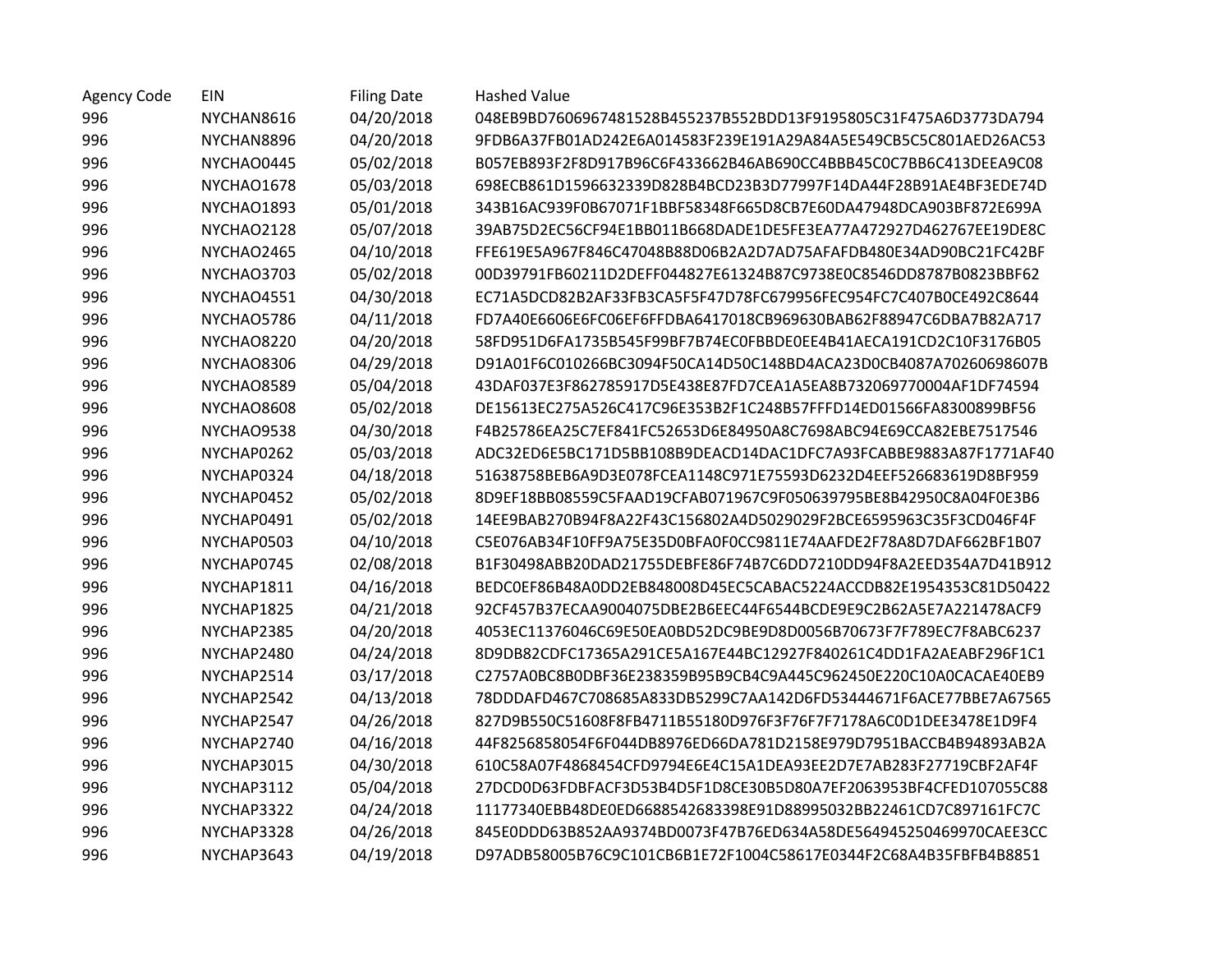| <b>Agency Code</b> | EIN               | <b>Filing Date</b> | <b>Hashed Value</b>                                              |
|--------------------|-------------------|--------------------|------------------------------------------------------------------|
| 996                | NYCHAN8616        | 04/20/2018         | 048EB9BD7606967481528B455237B552BDD13F9195805C31F475A6D3773DA794 |
| 996                | NYCHAN8896        | 04/20/2018         | 9FDB6A37FB01AD242E6A014583F239E191A29A84A5E549CB5C5C801AED26AC53 |
| 996                | NYCHAO0445        | 05/02/2018         | B057EB893F2F8D917B96C6F433662B46AB690CC4BBB45C0C7BB6C413DEEA9C08 |
| 996                | NYCHAO1678        | 05/03/2018         | 698ECB861D1596632339D828B4BCD23B3D77997F14DA44F28B91AE4BF3EDE74D |
| 996                | NYCHAO1893        | 05/01/2018         | 343B16AC939F0B67071F1BBF58348F665D8CB7E60DA47948DCA903BF872E699A |
| 996                | NYCHAO2128        | 05/07/2018         | 39AB75D2EC56CF94E1BB011B668DADE1DE5FE3EA77A472927D462767EE19DE8C |
| 996                | NYCHAO2465        | 04/10/2018         | FFE619E5A967F846C47048B88D06B2A2D7AD75AFAFDB480E34AD90BC21FC42BF |
| 996                | NYCHAO3703        | 05/02/2018         | 00D39791FB60211D2DEFF044827E61324B87C9738E0C8546DD8787B0823BBF62 |
| 996                | NYCHAO4551        | 04/30/2018         | EC71A5DCD82B2AF33FB3CA5F5F47D78FC679956FEC954FC7C407B0CE492C8644 |
| 996                | NYCHAO5786        | 04/11/2018         | FD7A40E6606E6FC06EF6FFDBA6417018CB969630BAB62F88947C6DBA7B82A717 |
| 996                | NYCHAO8220        | 04/20/2018         | 58FD951D6FA1735B545F99BF7B74EC0FBBDE0EE4B41AECA191CD2C10F3176B05 |
| 996                | NYCHAO8306        | 04/29/2018         | D91A01F6C010266BC3094F50CA14D50C148BD4ACA23D0CB4087A70260698607B |
| 996                | NYCHAO8589        | 05/04/2018         | 43DAF037E3F862785917D5E438E87FD7CEA1A5EA8B732069770004AF1DF74594 |
| 996                | <b>NYCHAO8608</b> | 05/02/2018         | DE15613EC275A526C417C96E353B2F1C248B57FFFD14ED01566FA8300899BF56 |
| 996                | NYCHAO9538        | 04/30/2018         | F4B25786EA25C7EF841FC52653D6E84950A8C7698ABC94E69CCA82EBE7517546 |
| 996                | NYCHAP0262        | 05/03/2018         | ADC32ED6E5BC171D5BB108B9DEACD14DAC1DFC7A93FCABBE9883A87F1771AF40 |
| 996                | NYCHAP0324        | 04/18/2018         | 51638758BEB6A9D3E078FCEA1148C971E75593D6232D4EEF526683619D8BF959 |
| 996                | NYCHAP0452        | 05/02/2018         | 8D9EF18BB08559C5FAAD19CFAB071967C9F050639795BE8B42950C8A04F0E3B6 |
| 996                | NYCHAP0491        | 05/02/2018         | 14EE9BAB270B94F8A22F43C156802A4D5029029F2BCE6595963C35F3CD046F4F |
| 996                | NYCHAP0503        | 04/10/2018         | C5E076AB34F10FF9A75E35D0BFA0F0CC9811E74AAFDE2F78A8D7DAF662BF1B07 |
| 996                | NYCHAP0745        | 02/08/2018         | B1F30498ABB20DAD21755DEBFE86F74B7C6DD7210DD94F8A2EED354A7D41B912 |
| 996                | NYCHAP1811        | 04/16/2018         | BEDC0EF86B48A0DD2EB848008D45EC5CABAC5224ACCDB82E1954353C81D50422 |
| 996                | NYCHAP1825        | 04/21/2018         | 92CF457B37ECAA9004075DBE2B6EEC44F6544BCDE9E9C2B62A5E7A221478ACF9 |
| 996                | NYCHAP2385        | 04/20/2018         | 4053EC11376046C69E50EA0BD52DC9BE9D8D0056B70673F7F789EC7F8ABC6237 |
| 996                | NYCHAP2480        | 04/24/2018         | 8D9DB82CDFC17365A291CE5A167E44BC12927F840261C4DD1FA2AEABF296F1C1 |
| 996                | NYCHAP2514        | 03/17/2018         | C2757A0BC8B0DBF36E238359B95B9CB4C9A445C962450E220C10A0CACAE40EB9 |
| 996                | NYCHAP2542        | 04/13/2018         | 78DDDAFD467C708685A833DB5299C7AA142D6FD53444671F6ACE77BBE7A67565 |
| 996                | NYCHAP2547        | 04/26/2018         | 827D9B550C51608F8FB4711B55180D976F3F76F7F7178A6C0D1DEE3478E1D9F4 |
| 996                | NYCHAP2740        | 04/16/2018         | 44F8256858054F6F044DB8976ED66DA781D2158E979D7951BACCB4B94893AB2A |
| 996                | NYCHAP3015        | 04/30/2018         | 610C58A07F4868454CFD9794E6E4C15A1DEA93EE2D7E7AB283F27719CBF2AF4F |
| 996                | NYCHAP3112        | 05/04/2018         | 27DCD0D63FDBFACF3D53B4D5F1D8CE30B5D80A7EF2063953BF4CFED107055C88 |
| 996                | NYCHAP3322        | 04/24/2018         | 11177340EBB48DE0ED6688542683398E91D88995032BB22461CD7C897161FC7C |
| 996                | NYCHAP3328        | 04/26/2018         | 845E0DDD63B852AA9374BD0073F47B76ED634A58DE564945250469970CAEE3CC |
| 996                | NYCHAP3643        | 04/19/2018         | D97ADB58005B76C9C101CB6B1E72F1004C58617E0344F2C68A4B35FBFB4B8851 |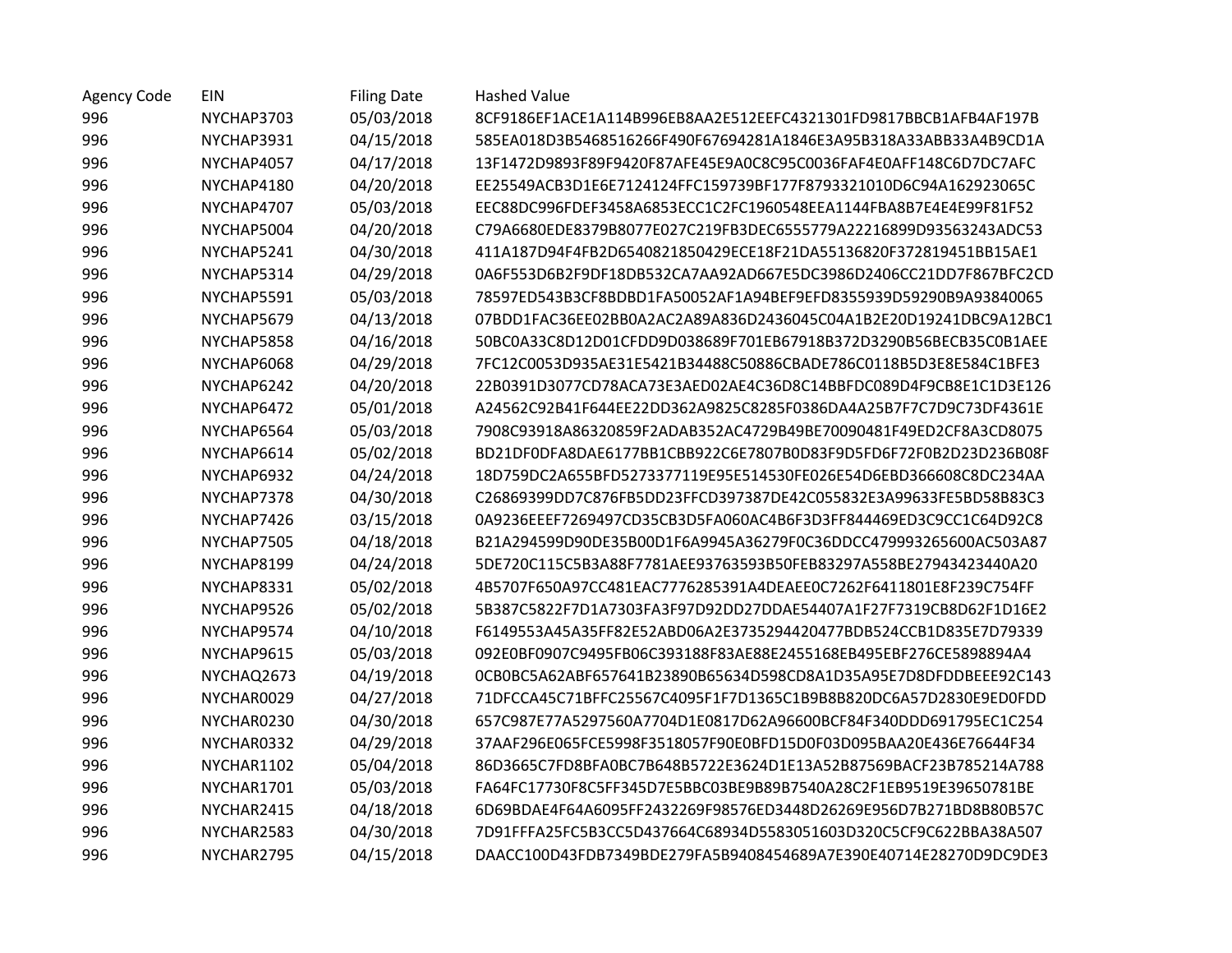| <b>Agency Code</b> | <b>EIN</b> | <b>Filing Date</b> | <b>Hashed Value</b>                                              |
|--------------------|------------|--------------------|------------------------------------------------------------------|
| 996                | NYCHAP3703 | 05/03/2018         | 8CF9186EF1ACE1A114B996EB8AA2E512EEFC4321301FD9817BBCB1AFB4AF197B |
| 996                | NYCHAP3931 | 04/15/2018         | 585EA018D3B5468516266F490F67694281A1846E3A95B318A33ABB33A4B9CD1A |
| 996                | NYCHAP4057 | 04/17/2018         | 13F1472D9893F89F9420F87AFE45E9A0C8C95C0036FAF4E0AFF148C6D7DC7AFC |
| 996                | NYCHAP4180 | 04/20/2018         | EE25549ACB3D1E6E7124124FFC159739BF177F8793321010D6C94A162923065C |
| 996                | NYCHAP4707 | 05/03/2018         | EEC88DC996FDEF3458A6853ECC1C2FC1960548EEA1144FBA8B7E4E4E99F81F52 |
| 996                | NYCHAP5004 | 04/20/2018         | C79A6680EDE8379B8077E027C219FB3DEC6555779A22216899D93563243ADC53 |
| 996                | NYCHAP5241 | 04/30/2018         | 411A187D94F4FB2D6540821850429ECE18F21DA55136820F372819451BB15AE1 |
| 996                | NYCHAP5314 | 04/29/2018         | 0A6F553D6B2F9DF18DB532CA7AA92AD667E5DC3986D2406CC21DD7F867BFC2CD |
| 996                | NYCHAP5591 | 05/03/2018         | 78597ED543B3CF8BDBD1FA50052AF1A94BEF9EFD8355939D59290B9A93840065 |
| 996                | NYCHAP5679 | 04/13/2018         | 07BDD1FAC36EE02BB0A2AC2A89A836D2436045C04A1B2E20D19241DBC9A12BC1 |
| 996                | NYCHAP5858 | 04/16/2018         | 50BC0A33C8D12D01CFDD9D038689F701EB67918B372D3290B56BECB35C0B1AEE |
| 996                | NYCHAP6068 | 04/29/2018         | 7FC12C0053D935AE31E5421B34488C50886CBADE786C0118B5D3E8E584C1BFE3 |
| 996                | NYCHAP6242 | 04/20/2018         | 22B0391D3077CD78ACA73E3AED02AE4C36D8C14BBFDC089D4F9CB8E1C1D3E126 |
| 996                | NYCHAP6472 | 05/01/2018         | A24562C92B41F644EE22DD362A9825C8285F0386DA4A25B7F7C7D9C73DF4361E |
| 996                | NYCHAP6564 | 05/03/2018         | 7908C93918A86320859F2ADAB352AC4729B49BE70090481F49ED2CF8A3CD8075 |
| 996                | NYCHAP6614 | 05/02/2018         | BD21DF0DFA8DAE6177BB1CBB922C6E7807B0D83F9D5FD6F72F0B2D23D236B08F |
| 996                | NYCHAP6932 | 04/24/2018         | 18D759DC2A655BFD5273377119E95E514530FE026E54D6EBD366608C8DC234AA |
| 996                | NYCHAP7378 | 04/30/2018         | C26869399DD7C876FB5DD23FFCD397387DE42C055832E3A99633FE5BD58B83C3 |
| 996                | NYCHAP7426 | 03/15/2018         | 0A9236EEEF7269497CD35CB3D5FA060AC4B6F3D3FF844469ED3C9CC1C64D92C8 |
| 996                | NYCHAP7505 | 04/18/2018         | B21A294599D90DE35B00D1F6A9945A36279F0C36DDCC479993265600AC503A87 |
| 996                | NYCHAP8199 | 04/24/2018         | 5DE720C115C5B3A88F7781AEE93763593B50FEB83297A558BE27943423440A20 |
| 996                | NYCHAP8331 | 05/02/2018         | 4B5707F650A97CC481EAC7776285391A4DEAEE0C7262F6411801E8F239C754FF |
| 996                | NYCHAP9526 | 05/02/2018         | 5B387C5822F7D1A7303FA3F97D92DD27DDAE54407A1F27F7319CB8D62F1D16E2 |
| 996                | NYCHAP9574 | 04/10/2018         | F6149553A45A35FF82E52ABD06A2E3735294420477BDB524CCB1D835E7D79339 |
| 996                | NYCHAP9615 | 05/03/2018         | 092E0BF0907C9495FB06C393188F83AE88E2455168EB495EBF276CE5898894A4 |
| 996                | NYCHAQ2673 | 04/19/2018         | 0CB0BC5A62ABF657641B23890B65634D598CD8A1D35A95E7D8DFDDBEEE92C143 |
| 996                | NYCHAR0029 | 04/27/2018         | 71DFCCA45C71BFFC25567C4095F1F7D1365C1B9B8B820DC6A57D2830E9ED0FDD |
| 996                | NYCHAR0230 | 04/30/2018         | 657C987E77A5297560A7704D1E0817D62A96600BCF84F340DDD691795EC1C254 |
| 996                | NYCHAR0332 | 04/29/2018         | 37AAF296E065FCE5998F3518057F90E0BFD15D0F03D095BAA20E436E76644F34 |
| 996                | NYCHAR1102 | 05/04/2018         | 86D3665C7FD8BFA0BC7B648B5722E3624D1E13A52B87569BACF23B785214A788 |
| 996                | NYCHAR1701 | 05/03/2018         | FA64FC17730F8C5FF345D7E5BBC03BE9B89B7540A28C2F1EB9519E39650781BE |
| 996                | NYCHAR2415 | 04/18/2018         | 6D69BDAE4F64A6095FF2432269F98576ED3448D26269E956D7B271BD8B80B57C |
| 996                | NYCHAR2583 | 04/30/2018         | 7D91FFFA25FC5B3CC5D437664C68934D5583051603D320C5CF9C622BBA38A507 |
| 996                | NYCHAR2795 | 04/15/2018         | DAACC100D43FDB7349BDE279FA5B9408454689A7E390E40714E28270D9DC9DE3 |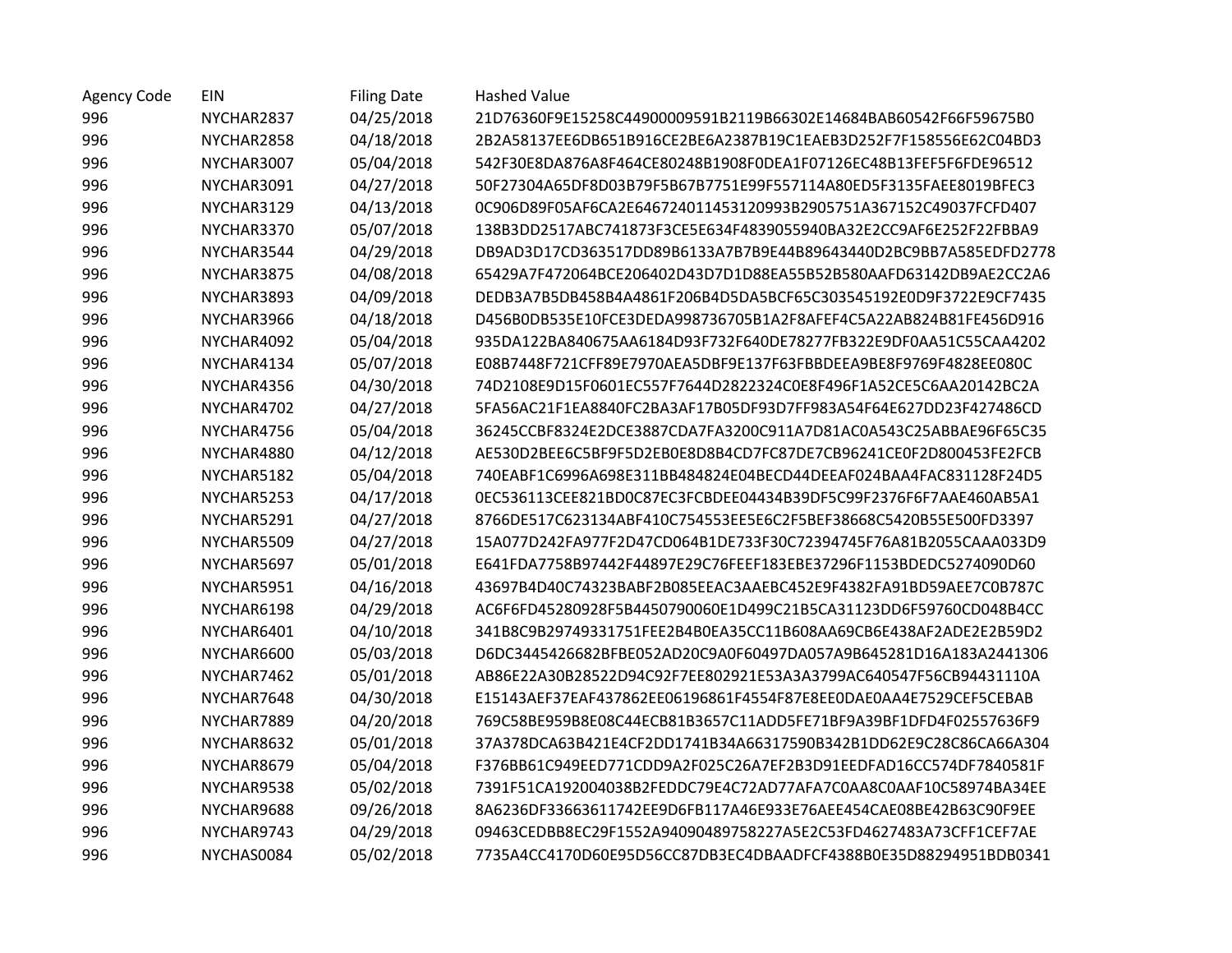| <b>Agency Code</b> | EIN        | <b>Filing Date</b> | <b>Hashed Value</b>                                              |
|--------------------|------------|--------------------|------------------------------------------------------------------|
| 996                | NYCHAR2837 | 04/25/2018         | 21D76360F9E15258C44900009591B2119B66302E14684BAB60542F66F59675B0 |
| 996                | NYCHAR2858 | 04/18/2018         | 2B2A58137EE6DB651B916CE2BE6A2387B19C1EAEB3D252F7F158556E62C04BD3 |
| 996                | NYCHAR3007 | 05/04/2018         | 542F30E8DA876A8F464CE80248B1908F0DEA1F07126EC48B13FEF5F6FDE96512 |
| 996                | NYCHAR3091 | 04/27/2018         | 50F27304A65DF8D03B79F5B67B7751E99F557114A80ED5F3135FAEE8019BFEC3 |
| 996                | NYCHAR3129 | 04/13/2018         | 0C906D89F05AF6CA2E646724011453120993B2905751A367152C49037FCFD407 |
| 996                | NYCHAR3370 | 05/07/2018         | 138B3DD2517ABC741873F3CE5E634F4839055940BA32E2CC9AF6E252F22FBBA9 |
| 996                | NYCHAR3544 | 04/29/2018         | DB9AD3D17CD363517DD89B6133A7B7B9E44B89643440D2BC9BB7A585EDFD2778 |
| 996                | NYCHAR3875 | 04/08/2018         | 65429A7F472064BCE206402D43D7D1D88EA55B52B580AAFD63142DB9AE2CC2A6 |
| 996                | NYCHAR3893 | 04/09/2018         | DEDB3A7B5DB458B4A4861F206B4D5DA5BCF65C303545192E0D9F3722E9CF7435 |
| 996                | NYCHAR3966 | 04/18/2018         | D456B0DB535E10FCE3DEDA998736705B1A2F8AFEF4C5A22AB824B81FE456D916 |
| 996                | NYCHAR4092 | 05/04/2018         | 935DA122BA840675AA6184D93F732F640DE78277FB322E9DF0AA51C55CAA4202 |
| 996                | NYCHAR4134 | 05/07/2018         | E08B7448F721CFF89E7970AEA5DBF9E137F63FBBDEEA9BE8F9769F4828EE080C |
| 996                | NYCHAR4356 | 04/30/2018         | 74D2108E9D15F0601EC557F7644D2822324C0E8F496F1A52CE5C6AA20142BC2A |
| 996                | NYCHAR4702 | 04/27/2018         | 5FA56AC21F1EA8840FC2BA3AF17B05DF93D7FF983A54F64E627DD23F427486CD |
| 996                | NYCHAR4756 | 05/04/2018         | 36245CCBF8324E2DCE3887CDA7FA3200C911A7D81AC0A543C25ABBAE96F65C35 |
| 996                | NYCHAR4880 | 04/12/2018         | AE530D2BEE6C5BF9F5D2EB0E8D8B4CD7FC87DE7CB96241CE0F2D800453FE2FCB |
| 996                | NYCHAR5182 | 05/04/2018         | 740EABF1C6996A698E311BB484824E04BECD44DEEAF024BAA4FAC831128F24D5 |
| 996                | NYCHAR5253 | 04/17/2018         | 0EC536113CEE821BD0C87EC3FCBDEE04434B39DF5C99F2376F6F7AAE460AB5A1 |
| 996                | NYCHAR5291 | 04/27/2018         | 8766DE517C623134ABF410C754553EE5E6C2F5BEF38668C5420B55E500FD3397 |
| 996                | NYCHAR5509 | 04/27/2018         | 15A077D242FA977F2D47CD064B1DE733F30C72394745F76A81B2055CAAA033D9 |
| 996                | NYCHAR5697 | 05/01/2018         | E641FDA7758B97442F44897E29C76FEEF183EBE37296F1153BDEDC5274090D60 |
| 996                | NYCHAR5951 | 04/16/2018         | 43697B4D40C74323BABF2B085EEAC3AAEBC452E9F4382FA91BD59AEE7C0B787C |
| 996                | NYCHAR6198 | 04/29/2018         | AC6F6FD45280928F5B4450790060E1D499C21B5CA31123DD6F59760CD048B4CC |
| 996                | NYCHAR6401 | 04/10/2018         | 341B8C9B29749331751FEE2B4B0EA35CC11B608AA69CB6E438AF2ADE2E2B59D2 |
| 996                | NYCHAR6600 | 05/03/2018         | D6DC3445426682BFBE052AD20C9A0F60497DA057A9B645281D16A183A2441306 |
| 996                | NYCHAR7462 | 05/01/2018         | AB86E22A30B28522D94C92F7EE802921E53A3A3799AC640547F56CB94431110A |
| 996                | NYCHAR7648 | 04/30/2018         | E15143AEF37EAF437862EE06196861F4554F87E8EE0DAE0AA4E7529CEF5CEBAB |
| 996                | NYCHAR7889 | 04/20/2018         | 769C58BE959B8E08C44ECB81B3657C11ADD5FE71BF9A39BF1DFD4F02557636F9 |
| 996                | NYCHAR8632 | 05/01/2018         | 37A378DCA63B421E4CF2DD1741B34A66317590B342B1DD62E9C28C86CA66A304 |
| 996                | NYCHAR8679 | 05/04/2018         | F376BB61C949EED771CDD9A2F025C26A7EF2B3D91EEDFAD16CC574DF7840581F |
| 996                | NYCHAR9538 | 05/02/2018         | 7391F51CA192004038B2FEDDC79E4C72AD77AFA7C0AA8C0AAF10C58974BA34EE |
| 996                | NYCHAR9688 | 09/26/2018         | 8A6236DF33663611742EE9D6FB117A46E933E76AEE454CAE08BE42B63C90F9EE |
| 996                | NYCHAR9743 | 04/29/2018         | 09463CEDBB8EC29F1552A94090489758227A5E2C53FD4627483A73CFF1CEF7AE |
| 996                | NYCHAS0084 | 05/02/2018         | 7735A4CC4170D60E95D56CC87DB3EC4DBAADFCF4388B0E35D88294951BDB0341 |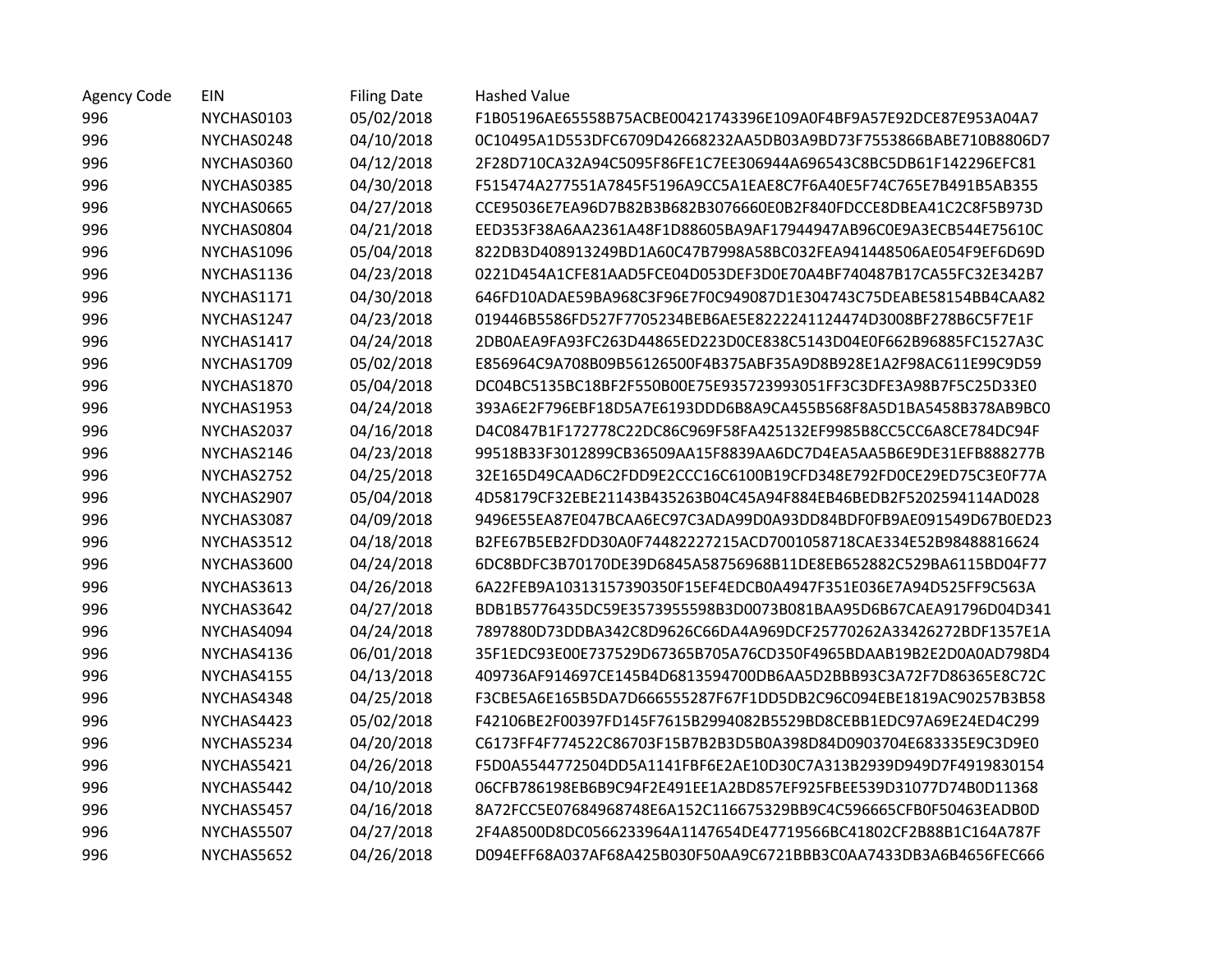| <b>Agency Code</b> | <b>EIN</b> | <b>Filing Date</b> | <b>Hashed Value</b>                                              |
|--------------------|------------|--------------------|------------------------------------------------------------------|
| 996                | NYCHAS0103 | 05/02/2018         | F1B05196AE65558B75ACBE00421743396E109A0F4BF9A57E92DCE87E953A04A7 |
| 996                | NYCHAS0248 | 04/10/2018         | 0C10495A1D553DFC6709D42668232AA5DB03A9BD73F7553866BABE710B8806D7 |
| 996                | NYCHAS0360 | 04/12/2018         | 2F28D710CA32A94C5095F86FE1C7EE306944A696543C8BC5DB61F142296EFC81 |
| 996                | NYCHAS0385 | 04/30/2018         | F515474A277551A7845F5196A9CC5A1EAE8C7F6A40E5F74C765E7B491B5AB355 |
| 996                | NYCHAS0665 | 04/27/2018         | CCE95036E7EA96D7B82B3B682B3076660E0B2F840FDCCE8DBEA41C2C8F5B973D |
| 996                | NYCHAS0804 | 04/21/2018         | EED353F38A6AA2361A48F1D88605BA9AF17944947AB96C0E9A3ECB544E75610C |
| 996                | NYCHAS1096 | 05/04/2018         | 822DB3D408913249BD1A60C47B7998A58BC032FEA941448506AE054F9EF6D69D |
| 996                | NYCHAS1136 | 04/23/2018         | 0221D454A1CFE81AAD5FCE04D053DEF3D0E70A4BF740487B17CA55FC32E342B7 |
| 996                | NYCHAS1171 | 04/30/2018         | 646FD10ADAE59BA968C3F96E7F0C949087D1E304743C75DEABE58154BB4CAA82 |
| 996                | NYCHAS1247 | 04/23/2018         | 019446B5586FD527F7705234BEB6AE5E8222241124474D3008BF278B6C5F7E1F |
| 996                | NYCHAS1417 | 04/24/2018         | 2DB0AEA9FA93FC263D44865ED223D0CE838C5143D04E0F662B96885FC1527A3C |
| 996                | NYCHAS1709 | 05/02/2018         | E856964C9A708B09B56126500F4B375ABF35A9D8B928E1A2F98AC611E99C9D59 |
| 996                | NYCHAS1870 | 05/04/2018         | DC04BC5135BC18BF2F550B00E75E935723993051FF3C3DFE3A98B7F5C25D33E0 |
| 996                | NYCHAS1953 | 04/24/2018         | 393A6E2F796EBF18D5A7E6193DDD6B8A9CA455B568F8A5D1BA5458B378AB9BC0 |
| 996                | NYCHAS2037 | 04/16/2018         | D4C0847B1F172778C22DC86C969F58FA425132EF9985B8CC5CC6A8CE784DC94F |
| 996                | NYCHAS2146 | 04/23/2018         | 99518B33F3012899CB36509AA15F8839AA6DC7D4EA5AA5B6E9DE31EFB888277B |
| 996                | NYCHAS2752 | 04/25/2018         | 32E165D49CAAD6C2FDD9E2CCC16C6100B19CFD348E792FD0CE29ED75C3E0F77A |
| 996                | NYCHAS2907 | 05/04/2018         | 4D58179CF32EBE21143B435263B04C45A94F884EB46BEDB2F5202594114AD028 |
| 996                | NYCHAS3087 | 04/09/2018         | 9496E55EA87E047BCAA6EC97C3ADA99D0A93DD84BDF0FB9AE091549D67B0ED23 |
| 996                | NYCHAS3512 | 04/18/2018         | B2FE67B5EB2FDD30A0F74482227215ACD7001058718CAE334E52B98488816624 |
| 996                | NYCHAS3600 | 04/24/2018         | 6DC8BDFC3B70170DE39D6845A58756968B11DE8EB652882C529BA6115BD04F77 |
| 996                | NYCHAS3613 | 04/26/2018         | 6A22FEB9A10313157390350F15EF4EDCB0A4947F351E036E7A94D525FF9C563A |
| 996                | NYCHAS3642 | 04/27/2018         | BDB1B5776435DC59E3573955598B3D0073B081BAA95D6B67CAEA91796D04D341 |
| 996                | NYCHAS4094 | 04/24/2018         | 7897880D73DDBA342C8D9626C66DA4A969DCF25770262A33426272BDF1357E1A |
| 996                | NYCHAS4136 | 06/01/2018         | 35F1EDC93E00E737529D67365B705A76CD350F4965BDAAB19B2E2D0A0AD798D4 |
| 996                | NYCHAS4155 | 04/13/2018         | 409736AF914697CE145B4D6813594700DB6AA5D2BBB93C3A72F7D86365E8C72C |
| 996                | NYCHAS4348 | 04/25/2018         | F3CBE5A6E165B5DA7D666555287F67F1DD5DB2C96C094EBE1819AC90257B3B58 |
| 996                | NYCHAS4423 | 05/02/2018         | F42106BE2F00397FD145F7615B2994082B5529BD8CEBB1EDC97A69E24ED4C299 |
| 996                | NYCHAS5234 | 04/20/2018         | C6173FF4F774522C86703F15B7B2B3D5B0A398D84D0903704E683335E9C3D9E0 |
| 996                | NYCHAS5421 | 04/26/2018         | F5D0A5544772504DD5A1141FBF6E2AE10D30C7A313B2939D949D7F4919830154 |
| 996                | NYCHAS5442 | 04/10/2018         | 06CFB786198EB6B9C94F2E491EE1A2BD857EF925FBEE539D31077D74B0D11368 |
| 996                | NYCHAS5457 | 04/16/2018         | 8A72FCC5E07684968748E6A152C116675329BB9C4C596665CFB0F50463EADB0D |
| 996                | NYCHAS5507 | 04/27/2018         | 2F4A8500D8DC0566233964A1147654DE47719566BC41802CF2B88B1C164A787F |
| 996                | NYCHAS5652 | 04/26/2018         | D094EFF68A037AF68A425B030F50AA9C6721BBB3C0AA7433DB3A6B4656FEC666 |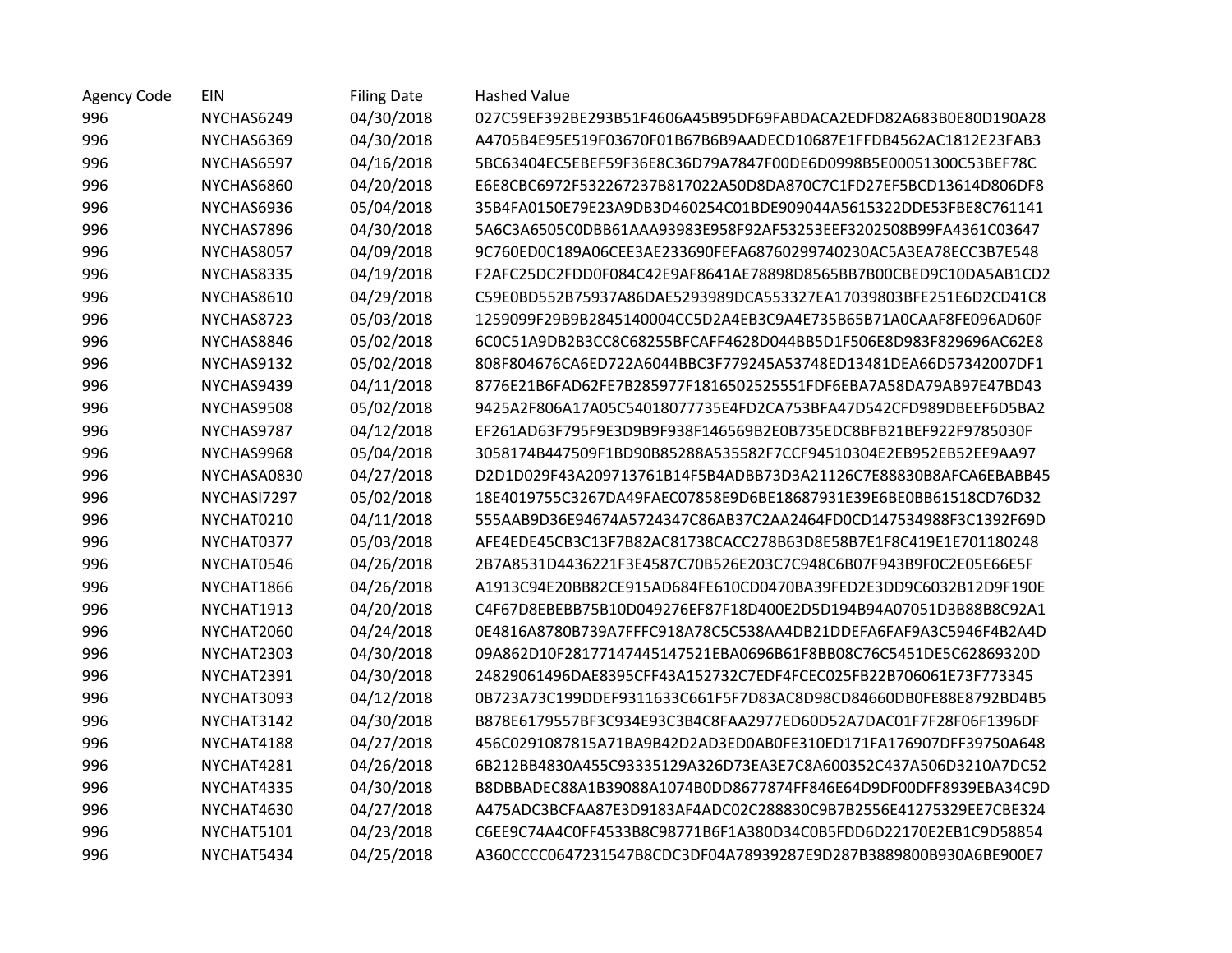| <b>Agency Code</b> | EIN         | <b>Filing Date</b> | <b>Hashed Value</b>                                              |
|--------------------|-------------|--------------------|------------------------------------------------------------------|
| 996                | NYCHAS6249  | 04/30/2018         | 027C59EF392BE293B51F4606A45B95DF69FABDACA2EDFD82A683B0E80D190A28 |
| 996                | NYCHAS6369  | 04/30/2018         | A4705B4E95E519F03670F01B67B6B9AADECD10687E1FFDB4562AC1812E23FAB3 |
| 996                | NYCHAS6597  | 04/16/2018         | 5BC63404EC5EBEF59F36E8C36D79A7847F00DE6D0998B5E00051300C53BEF78C |
| 996                | NYCHAS6860  | 04/20/2018         | E6E8CBC6972F532267237B817022A50D8DA870C7C1FD27EF5BCD13614D806DF8 |
| 996                | NYCHAS6936  | 05/04/2018         | 35B4FA0150E79E23A9DB3D460254C01BDE909044A5615322DDE53FBE8C761141 |
| 996                | NYCHAS7896  | 04/30/2018         | 5A6C3A6505C0DBB61AAA93983E958F92AF53253EEF3202508B99FA4361C03647 |
| 996                | NYCHAS8057  | 04/09/2018         | 9C760ED0C189A06CEE3AE233690FEFA68760299740230AC5A3EA78ECC3B7E548 |
| 996                | NYCHAS8335  | 04/19/2018         | F2AFC25DC2FDD0F084C42E9AF8641AE78898D8565BB7B00CBED9C10DA5AB1CD2 |
| 996                | NYCHAS8610  | 04/29/2018         | C59E0BD552B75937A86DAE5293989DCA553327EA17039803BFE251E6D2CD41C8 |
| 996                | NYCHAS8723  | 05/03/2018         | 1259099F29B9B2845140004CC5D2A4EB3C9A4E735B65B71A0CAAF8FE096AD60F |
| 996                | NYCHAS8846  | 05/02/2018         | 6C0C51A9DB2B3CC8C68255BFCAFF4628D044BB5D1F506E8D983F829696AC62E8 |
| 996                | NYCHAS9132  | 05/02/2018         | 808F804676CA6ED722A6044BBC3F779245A53748ED13481DEA66D57342007DF1 |
| 996                | NYCHAS9439  | 04/11/2018         | 8776E21B6FAD62FE7B285977F1816502525551FDF6EBA7A58DA79AB97E47BD43 |
| 996                | NYCHAS9508  | 05/02/2018         | 9425A2F806A17A05C54018077735E4FD2CA753BFA47D542CFD989DBEEF6D5BA2 |
| 996                | NYCHAS9787  | 04/12/2018         | EF261AD63F795F9E3D9B9F938F146569B2E0B735EDC8BFB21BEF922F9785030F |
| 996                | NYCHAS9968  | 05/04/2018         | 3058174B447509F1BD90B85288A535582F7CCF94510304E2EB952EB52EE9AA97 |
| 996                | NYCHASA0830 | 04/27/2018         | D2D1D029F43A209713761B14F5B4ADBB73D3A21126C7E88830B8AFCA6EBABB45 |
| 996                | NYCHASI7297 | 05/02/2018         | 18E4019755C3267DA49FAEC07858E9D6BE18687931E39E6BE0BB61518CD76D32 |
| 996                | NYCHAT0210  | 04/11/2018         | 555AAB9D36E94674A5724347C86AB37C2AA2464FD0CD147534988F3C1392F69D |
| 996                | NYCHAT0377  | 05/03/2018         | AFE4EDE45CB3C13F7B82AC81738CACC278B63D8E58B7E1F8C419E1E701180248 |
| 996                | NYCHAT0546  | 04/26/2018         | 2B7A8531D4436221F3E4587C70B526E203C7C948C6B07F943B9F0C2E05E66E5F |
| 996                | NYCHAT1866  | 04/26/2018         | A1913C94E20BB82CE915AD684FE610CD0470BA39FED2E3DD9C6032B12D9F190E |
| 996                | NYCHAT1913  | 04/20/2018         | C4F67D8EBEBB75B10D049276EF87F18D400E2D5D194B94A07051D3B88B8C92A1 |
| 996                | NYCHAT2060  | 04/24/2018         | 0E4816A8780B739A7FFFC918A78C5C538AA4DB21DDEFA6FAF9A3C5946F4B2A4D |
| 996                | NYCHAT2303  | 04/30/2018         | 09A862D10F28177147445147521EBA0696B61F8BB08C76C5451DE5C62869320D |
| 996                | NYCHAT2391  | 04/30/2018         | 24829061496DAE8395CFF43A152732C7EDF4FCEC025FB22B706061E73F773345 |
| 996                | NYCHAT3093  | 04/12/2018         | 0B723A73C199DDEF9311633C661F5F7D83AC8D98CD84660DB0FE88E8792BD4B5 |
| 996                | NYCHAT3142  | 04/30/2018         | B878E6179557BF3C934E93C3B4C8FAA2977ED60D52A7DAC01F7F28F06F1396DF |
| 996                | NYCHAT4188  | 04/27/2018         | 456C0291087815A71BA9B42D2AD3ED0AB0FE310ED171FA176907DFF39750A648 |
| 996                | NYCHAT4281  | 04/26/2018         | 6B212BB4830A455C93335129A326D73EA3E7C8A600352C437A506D3210A7DC52 |
| 996                | NYCHAT4335  | 04/30/2018         | B8DBBADEC88A1B39088A1074B0DD8677874FF846E64D9DF00DFF8939EBA34C9D |
| 996                | NYCHAT4630  | 04/27/2018         | A475ADC3BCFAA87E3D9183AF4ADC02C288830C9B7B2556E41275329EE7CBE324 |
| 996                | NYCHAT5101  | 04/23/2018         | C6EE9C74A4C0FF4533B8C98771B6F1A380D34C0B5FDD6D22170E2EB1C9D58854 |
| 996                | NYCHAT5434  | 04/25/2018         | A360CCCC0647231547B8CDC3DF04A78939287E9D287B3889800B930A6BE900E7 |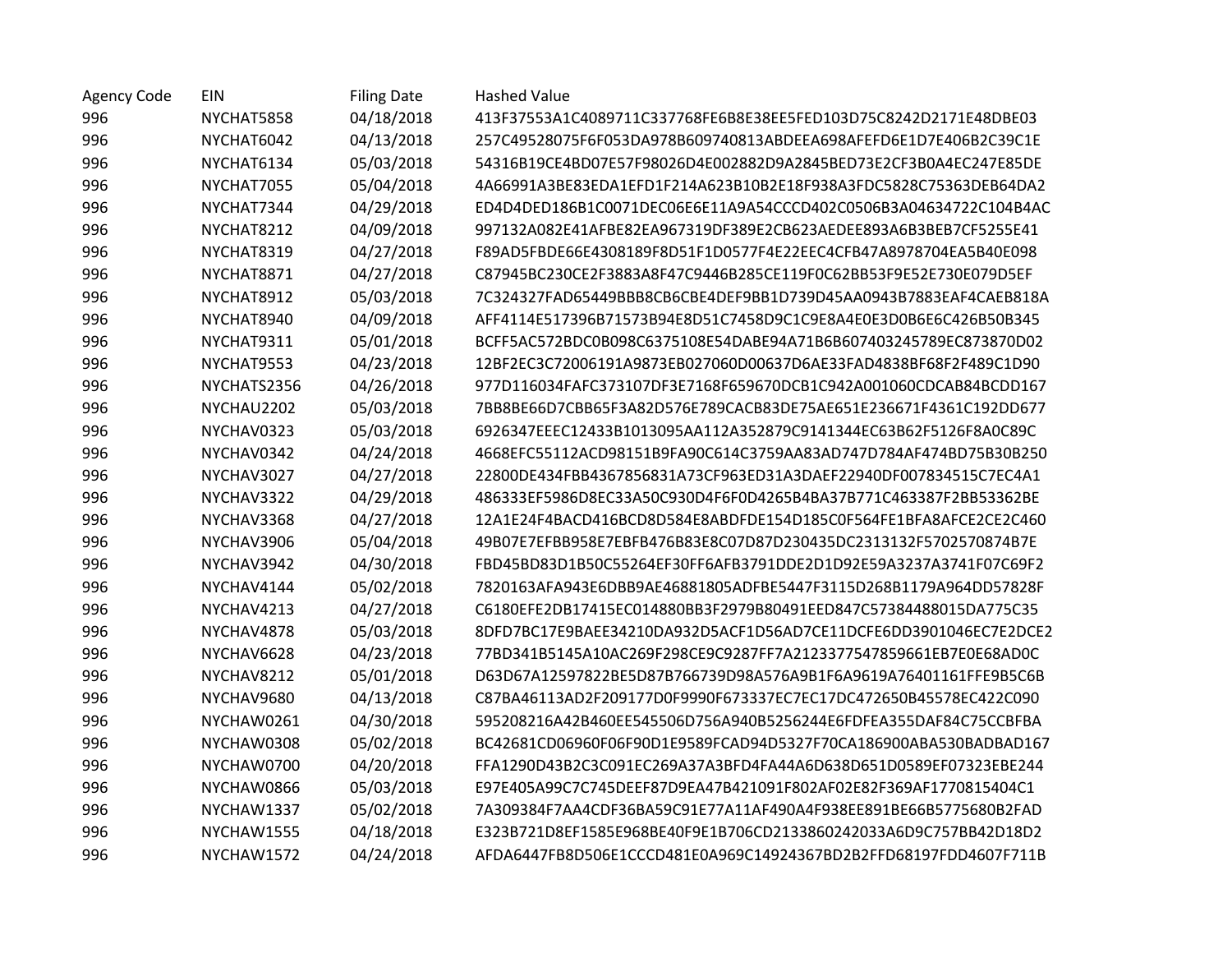| <b>Agency Code</b> | EIN         | <b>Filing Date</b> | <b>Hashed Value</b>                                              |
|--------------------|-------------|--------------------|------------------------------------------------------------------|
| 996                | NYCHAT5858  | 04/18/2018         | 413F37553A1C4089711C337768FE6B8E38EE5FED103D75C8242D2171E48DBE03 |
| 996                | NYCHAT6042  | 04/13/2018         | 257C49528075F6F053DA978B609740813ABDEEA698AFEFD6E1D7E406B2C39C1E |
| 996                | NYCHAT6134  | 05/03/2018         | 54316B19CE4BD07E57F98026D4E002882D9A2845BED73E2CF3B0A4EC247E85DE |
| 996                | NYCHAT7055  | 05/04/2018         | 4A66991A3BE83EDA1EFD1F214A623B10B2E18F938A3FDC5828C75363DEB64DA2 |
| 996                | NYCHAT7344  | 04/29/2018         | ED4D4DED186B1C0071DEC06E6E11A9A54CCCD402C0506B3A04634722C104B4AC |
| 996                | NYCHAT8212  | 04/09/2018         | 997132A082E41AFBE82EA967319DF389E2CB623AEDEE893A6B3BEB7CF5255E41 |
| 996                | NYCHAT8319  | 04/27/2018         | F89AD5FBDE66E4308189F8D51F1D0577F4E22EEC4CFB47A8978704EA5B40E098 |
| 996                | NYCHAT8871  | 04/27/2018         | C87945BC230CE2F3883A8F47C9446B285CE119F0C62BB53F9E52E730E079D5EF |
| 996                | NYCHAT8912  | 05/03/2018         | 7C324327FAD65449BBB8CB6CBE4DEF9BB1D739D45AA0943B7883EAF4CAEB818A |
| 996                | NYCHAT8940  | 04/09/2018         | AFF4114E517396B71573B94E8D51C7458D9C1C9E8A4E0E3D0B6E6C426B50B345 |
| 996                | NYCHAT9311  | 05/01/2018         | BCFF5AC572BDC0B098C6375108E54DABE94A71B6B607403245789EC873870D02 |
| 996                | NYCHAT9553  | 04/23/2018         | 12BF2EC3C72006191A9873EB027060D00637D6AE33FAD4838BF68F2F489C1D90 |
| 996                | NYCHATS2356 | 04/26/2018         | 977D116034FAFC373107DF3E7168F659670DCB1C942A001060CDCAB84BCDD167 |
| 996                | NYCHAU2202  | 05/03/2018         | 7BB8BE66D7CBB65F3A82D576E789CACB83DE75AE651E236671F4361C192DD677 |
| 996                | NYCHAV0323  | 05/03/2018         | 6926347EEEC12433B1013095AA112A352879C9141344EC63B62F5126F8A0C89C |
| 996                | NYCHAV0342  | 04/24/2018         | 4668EFC55112ACD98151B9FA90C614C3759AA83AD747D784AF474BD75B30B250 |
| 996                | NYCHAV3027  | 04/27/2018         | 22800DE434FBB4367856831A73CF963ED31A3DAEF22940DF007834515C7EC4A1 |
| 996                | NYCHAV3322  | 04/29/2018         | 486333EF5986D8EC33A50C930D4F6F0D4265B4BA37B771C463387F2BB53362BE |
| 996                | NYCHAV3368  | 04/27/2018         | 12A1E24F4BACD416BCD8D584E8ABDFDE154D185C0F564FE1BFA8AFCE2CE2C460 |
| 996                | NYCHAV3906  | 05/04/2018         | 49B07E7EFBB958E7EBFB476B83E8C07D87D230435DC2313132F5702570874B7E |
| 996                | NYCHAV3942  | 04/30/2018         | FBD45BD83D1B50C55264EF30FF6AFB3791DDE2D1D92E59A3237A3741F07C69F2 |
| 996                | NYCHAV4144  | 05/02/2018         | 7820163AFA943E6DBB9AE46881805ADFBE5447F3115D268B1179A964DD57828F |
| 996                | NYCHAV4213  | 04/27/2018         | C6180EFE2DB17415EC014880BB3F2979B80491EED847C57384488015DA775C35 |
| 996                | NYCHAV4878  | 05/03/2018         | 8DFD7BC17E9BAEE34210DA932D5ACF1D56AD7CE11DCFE6DD3901046EC7E2DCE2 |
| 996                | NYCHAV6628  | 04/23/2018         | 77BD341B5145A10AC269F298CE9C9287FF7A2123377547859661EB7E0E68AD0C |
| 996                | NYCHAV8212  | 05/01/2018         | D63D67A12597822BE5D87B766739D98A576A9B1F6A9619A76401161FFE9B5C6B |
| 996                | NYCHAV9680  | 04/13/2018         | C87BA46113AD2F209177D0F9990F673337EC7EC17DC472650B45578EC422C090 |
| 996                | NYCHAW0261  | 04/30/2018         | 595208216A42B460EE545506D756A940B5256244E6FDFEA355DAF84C75CCBFBA |
| 996                | NYCHAW0308  | 05/02/2018         | BC42681CD06960F06F90D1E9589FCAD94D5327F70CA186900ABA530BADBAD167 |
| 996                | NYCHAW0700  | 04/20/2018         | FFA1290D43B2C3C091EC269A37A3BFD4FA44A6D638D651D0589EF07323EBE244 |
| 996                | NYCHAW0866  | 05/03/2018         | E97E405A99C7C745DEEF87D9EA47B421091F802AF02E82F369AF1770815404C1 |
| 996                | NYCHAW1337  | 05/02/2018         | 7A309384F7AA4CDF36BA59C91E77A11AF490A4F938EE891BE66B5775680B2FAD |
| 996                | NYCHAW1555  | 04/18/2018         | E323B721D8EF1585E968BE40F9E1B706CD2133860242033A6D9C757BB42D18D2 |
| 996                | NYCHAW1572  | 04/24/2018         | AFDA6447FB8D506E1CCCD481E0A969C14924367BD2B2FFD68197FDD4607F711B |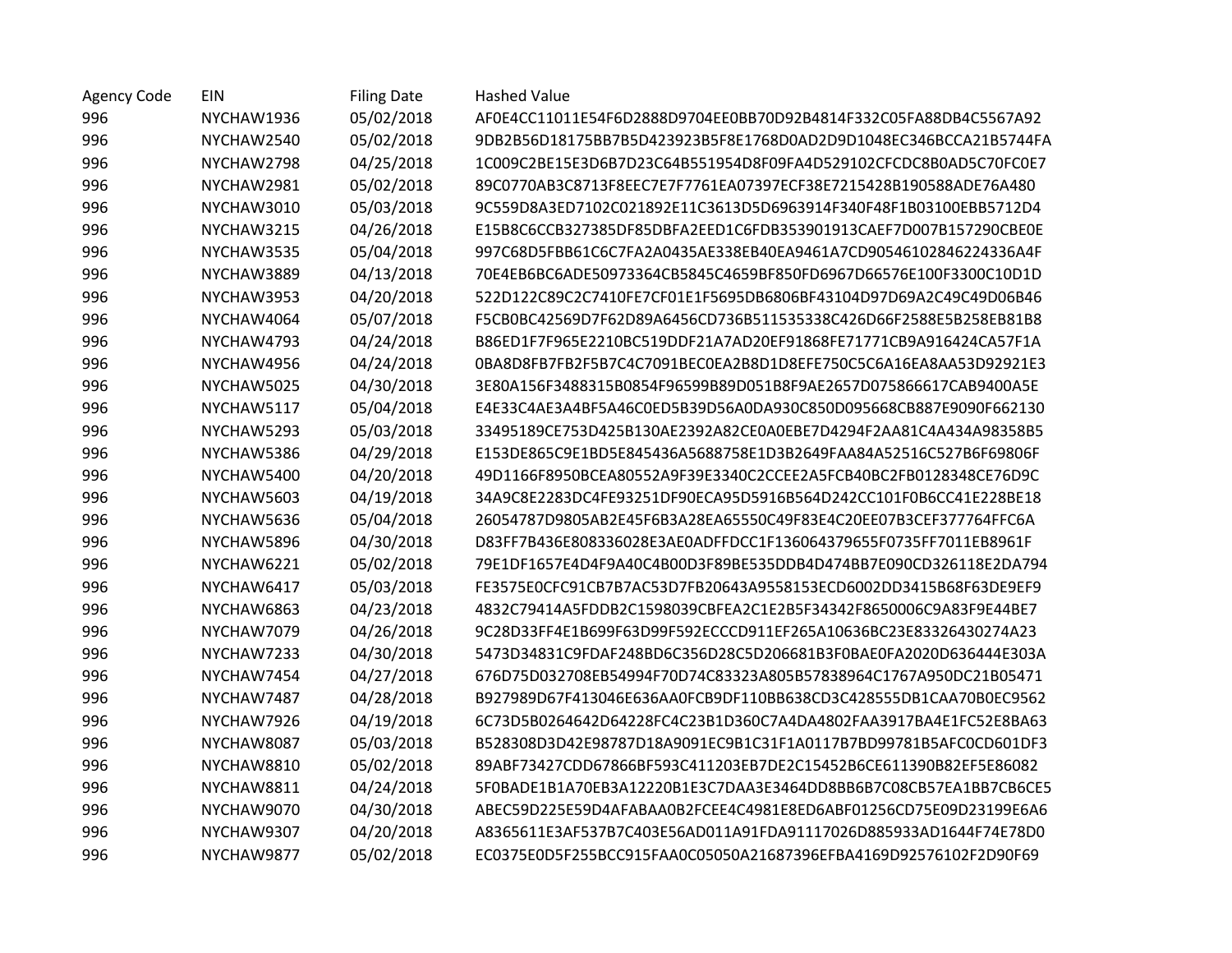| <b>Agency Code</b> | EIN        | <b>Filing Date</b> | <b>Hashed Value</b>                                              |
|--------------------|------------|--------------------|------------------------------------------------------------------|
| 996                | NYCHAW1936 | 05/02/2018         | AF0E4CC11011E54F6D2888D9704EE0BB70D92B4814F332C05FA88DB4C5567A92 |
| 996                | NYCHAW2540 | 05/02/2018         | 9DB2B56D18175BB7B5D423923B5F8E1768D0AD2D9D1048EC346BCCA21B5744FA |
| 996                | NYCHAW2798 | 04/25/2018         | 1C009C2BE15E3D6B7D23C64B551954D8F09FA4D529102CFCDC8B0AD5C70FC0E7 |
| 996                | NYCHAW2981 | 05/02/2018         | 89C0770AB3C8713F8EEC7E7F7761EA07397ECF38E7215428B190588ADE76A480 |
| 996                | NYCHAW3010 | 05/03/2018         | 9C559D8A3ED7102C021892E11C3613D5D6963914F340F48F1B03100EBB5712D4 |
| 996                | NYCHAW3215 | 04/26/2018         | E15B8C6CCB327385DF85DBFA2EED1C6FDB353901913CAEF7D007B157290CBE0E |
| 996                | NYCHAW3535 | 05/04/2018         | 997C68D5FBB61C6C7FA2A0435AE338EB40EA9461A7CD90546102846224336A4F |
| 996                | NYCHAW3889 | 04/13/2018         | 70E4EB6BC6ADE50973364CB5845C4659BF850FD6967D66576E100F3300C10D1D |
| 996                | NYCHAW3953 | 04/20/2018         | 522D122C89C2C7410FE7CF01E1F5695DB6806BF43104D97D69A2C49C49D06B46 |
| 996                | NYCHAW4064 | 05/07/2018         | F5CB0BC42569D7F62D89A6456CD736B511535338C426D66F2588E5B258EB81B8 |
| 996                | NYCHAW4793 | 04/24/2018         | B86ED1F7F965E2210BC519DDF21A7AD20EF91868FE71771CB9A916424CA57F1A |
| 996                | NYCHAW4956 | 04/24/2018         | 0BA8D8FB7FB2F5B7C4C7091BEC0EA2B8D1D8EFE750C5C6A16EA8AA53D92921E3 |
| 996                | NYCHAW5025 | 04/30/2018         | 3E80A156F3488315B0854F96599B89D051B8F9AE2657D075866617CAB9400A5E |
| 996                | NYCHAW5117 | 05/04/2018         | E4E33C4AE3A4BF5A46C0ED5B39D56A0DA930C850D095668CB887E9090F662130 |
| 996                | NYCHAW5293 | 05/03/2018         | 33495189CE753D425B130AE2392A82CE0A0EBE7D4294F2AA81C4A434A98358B5 |
| 996                | NYCHAW5386 | 04/29/2018         | E153DE865C9E1BD5E845436A5688758E1D3B2649FAA84A52516C527B6F69806F |
| 996                | NYCHAW5400 | 04/20/2018         | 49D1166F8950BCEA80552A9F39E3340C2CCEE2A5FCB40BC2FB0128348CE76D9C |
| 996                | NYCHAW5603 | 04/19/2018         | 34A9C8E2283DC4FE93251DF90ECA95D5916B564D242CC101F0B6CC41E228BE18 |
| 996                | NYCHAW5636 | 05/04/2018         | 26054787D9805AB2E45F6B3A28EA65550C49F83E4C20EE07B3CEF377764FFC6A |
| 996                | NYCHAW5896 | 04/30/2018         | D83FF7B436E808336028E3AE0ADFFDCC1F136064379655F0735FF7011EB8961F |
| 996                | NYCHAW6221 | 05/02/2018         | 79E1DF1657E4D4F9A40C4B00D3F89BE535DDB4D474BB7E090CD326118E2DA794 |
| 996                | NYCHAW6417 | 05/03/2018         | FE3575E0CFC91CB7B7AC53D7FB20643A9558153ECD6002DD3415B68F63DE9EF9 |
| 996                | NYCHAW6863 | 04/23/2018         | 4832C79414A5FDDB2C1598039CBFEA2C1E2B5F34342F8650006C9A83F9E44BE7 |
| 996                | NYCHAW7079 | 04/26/2018         | 9C28D33FF4E1B699F63D99F592ECCCD911EF265A10636BC23E83326430274A23 |
| 996                | NYCHAW7233 | 04/30/2018         | 5473D34831C9FDAF248BD6C356D28C5D206681B3F0BAE0FA2020D636444E303A |
| 996                | NYCHAW7454 | 04/27/2018         | 676D75D032708EB54994F70D74C83323A805B57838964C1767A950DC21B05471 |
| 996                | NYCHAW7487 | 04/28/2018         | B927989D67F413046E636AA0FCB9DF110BB638CD3C428555DB1CAA70B0EC9562 |
| 996                | NYCHAW7926 | 04/19/2018         | 6C73D5B0264642D64228FC4C23B1D360C7A4DA4802FAA3917BA4E1FC52E8BA63 |
| 996                | NYCHAW8087 | 05/03/2018         | B528308D3D42E98787D18A9091EC9B1C31F1A0117B7BD99781B5AFC0CD601DF3 |
| 996                | NYCHAW8810 | 05/02/2018         | 89ABF73427CDD67866BF593C411203EB7DE2C15452B6CE611390B82EF5E86082 |
| 996                | NYCHAW8811 | 04/24/2018         | 5F0BADE1B1A70EB3A12220B1E3C7DAA3E3464DD8BB6B7C08CB57EA1BB7CB6CE5 |
| 996                | NYCHAW9070 | 04/30/2018         | ABEC59D225E59D4AFABAA0B2FCEE4C4981E8ED6ABF01256CD75E09D23199E6A6 |
| 996                | NYCHAW9307 | 04/20/2018         | A8365611E3AF537B7C403E56AD011A91FDA91117026D885933AD1644F74E78D0 |
| 996                | NYCHAW9877 | 05/02/2018         | EC0375E0D5F255BCC915FAA0C05050A21687396EFBA4169D92576102F2D90F69 |